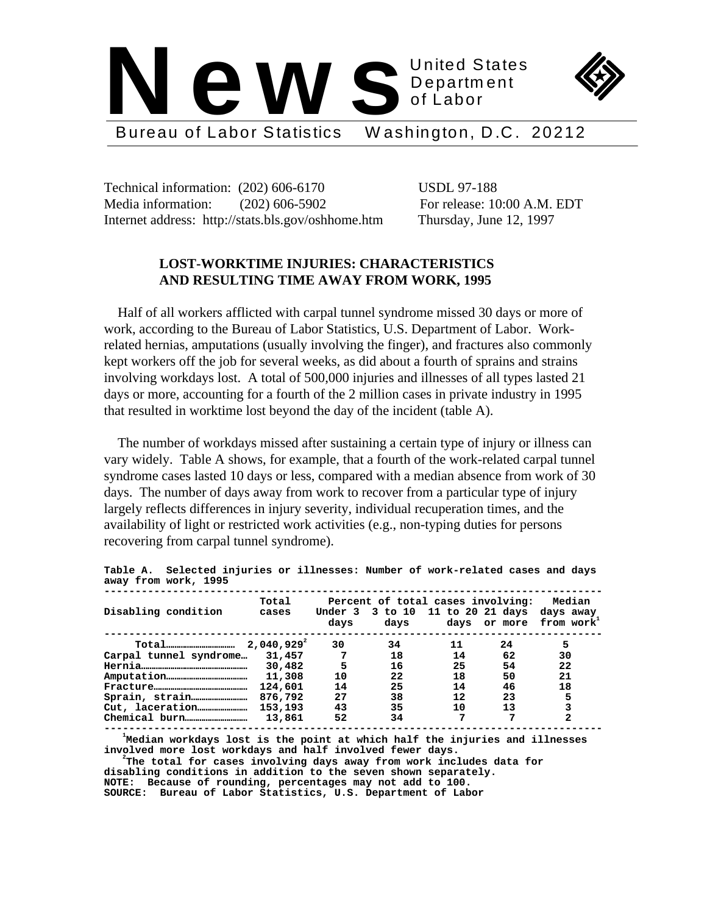

Technical information: (202) 606-6170 USDL 97-188 Media information: (202) 606-5902 For release: 10:00 A.M. EDT Internet address: http://stats.bls.gov/oshhome.htm Thursday, June 12, 1997

# **LOST-WORKTIME INJURIES: CHARACTERISTICS AND RESULTING TIME AWAY FROM WORK, 1995**

 Half of all workers afflicted with carpal tunnel syndrome missed 30 days or more of work, according to the Bureau of Labor Statistics, U.S. Department of Labor. Workrelated hernias, amputations (usually involving the finger), and fractures also commonly kept workers off the job for several weeks, as did about a fourth of sprains and strains involving workdays lost. A total of 500,000 injuries and illnesses of all types lasted 21 days or more, accounting for a fourth of the 2 million cases in private industry in 1995 that resulted in worktime lost beyond the day of the incident (table A).

 The number of workdays missed after sustaining a certain type of injury or illness can vary widely. Table A shows, for example, that a fourth of the work-related carpal tunnel syndrome cases lasted 10 days or less, compared with a median absence from work of 30 days. The number of days away from work to recover from a particular type of injury largely reflects differences in injury severity, individual recuperation times, and the availability of light or restricted work activities (e.g., non-typing duties for persons recovering from carpal tunnel syndrome).

| $0.0007 - 1.0010 - 0.0011 - 0.0001$ |                 |                 |                                                                       |    |              |                                               |
|-------------------------------------|-----------------|-----------------|-----------------------------------------------------------------------|----|--------------|-----------------------------------------------|
| Disabling condition                 | Total<br>cases  | Under 3<br>days | Percent of total cases involving:<br>3 to 10 11 to 20 21 days<br>days |    | days or more | Median<br>days away<br>from work <sup>+</sup> |
|                                     | $2,040,929^{2}$ | 30              | 34                                                                    | 11 | 24           | 5                                             |
| Carpal tunnel syndrome              | 31,457          | 7               | 18                                                                    | 14 | 62           | 30                                            |
|                                     | 30,482          | 5               | 16                                                                    | 25 | 54           | 22                                            |
|                                     | 11,308          | 10              | 22                                                                    | 18 | 50           | 21                                            |
|                                     | 124,601         | 14              | 25                                                                    | 14 | 46           | 18                                            |
|                                     | 876,792         | 27              | 38                                                                    | 12 | 23           | 5                                             |
|                                     | 153,193         | 43              | 35                                                                    | 10 | 13           |                                               |
|                                     | 13,861          | 52              | 34                                                                    | 7  | 7            | 2                                             |
|                                     |                 |                 |                                                                       |    |              |                                               |

**Table A. Selected injuries or illnesses: Number of work-related cases and days** away from work.

 **<sup>1</sup> Median workdays lost is the point at which half the injuries and illnesses**

**involved more lost workdays and half involved fewer days. <sup>2</sup> The total for cases involving days away from work includes data for disabling conditions in addition to the seven shown separately. NOTE: Because of rounding, percentages may not add to 100. SOURCE: Bureau of Labor Statistics, U.S. Department of Labor**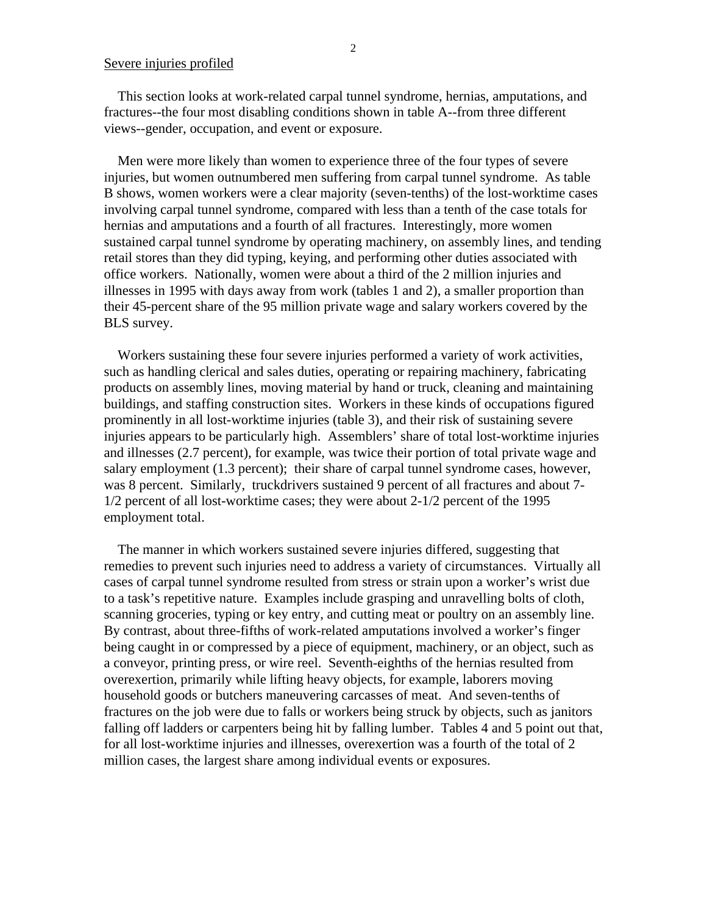# Severe injuries profiled

 This section looks at work-related carpal tunnel syndrome, hernias, amputations, and fractures--the four most disabling conditions shown in table A--from three different views--gender, occupation, and event or exposure.

 Men were more likely than women to experience three of the four types of severe injuries, but women outnumbered men suffering from carpal tunnel syndrome. As table B shows, women workers were a clear majority (seven-tenths) of the lost-worktime cases involving carpal tunnel syndrome, compared with less than a tenth of the case totals for hernias and amputations and a fourth of all fractures. Interestingly, more women sustained carpal tunnel syndrome by operating machinery, on assembly lines, and tending retail stores than they did typing, keying, and performing other duties associated with office workers. Nationally, women were about a third of the 2 million injuries and illnesses in 1995 with days away from work (tables 1 and 2), a smaller proportion than their 45-percent share of the 95 million private wage and salary workers covered by the BLS survey.

 Workers sustaining these four severe injuries performed a variety of work activities, such as handling clerical and sales duties, operating or repairing machinery, fabricating products on assembly lines, moving material by hand or truck, cleaning and maintaining buildings, and staffing construction sites. Workers in these kinds of occupations figured prominently in all lost-worktime injuries (table 3), and their risk of sustaining severe injuries appears to be particularly high. Assemblers' share of total lost-worktime injuries and illnesses (2.7 percent), for example, was twice their portion of total private wage and salary employment (1.3 percent); their share of carpal tunnel syndrome cases, however, was 8 percent. Similarly, truckdrivers sustained 9 percent of all fractures and about 7- 1/2 percent of all lost-worktime cases; they were about 2-1/2 percent of the 1995 employment total.

 The manner in which workers sustained severe injuries differed, suggesting that remedies to prevent such injuries need to address a variety of circumstances. Virtually all cases of carpal tunnel syndrome resulted from stress or strain upon a worker's wrist due to a task's repetitive nature. Examples include grasping and unravelling bolts of cloth, scanning groceries, typing or key entry, and cutting meat or poultry on an assembly line. By contrast, about three-fifths of work-related amputations involved a worker's finger being caught in or compressed by a piece of equipment, machinery, or an object, such as a conveyor, printing press, or wire reel. Seventh-eighths of the hernias resulted from overexertion, primarily while lifting heavy objects, for example, laborers moving household goods or butchers maneuvering carcasses of meat. And seven-tenths of fractures on the job were due to falls or workers being struck by objects, such as janitors falling off ladders or carpenters being hit by falling lumber. Tables 4 and 5 point out that, for all lost-worktime injuries and illnesses, overexertion was a fourth of the total of 2 million cases, the largest share among individual events or exposures.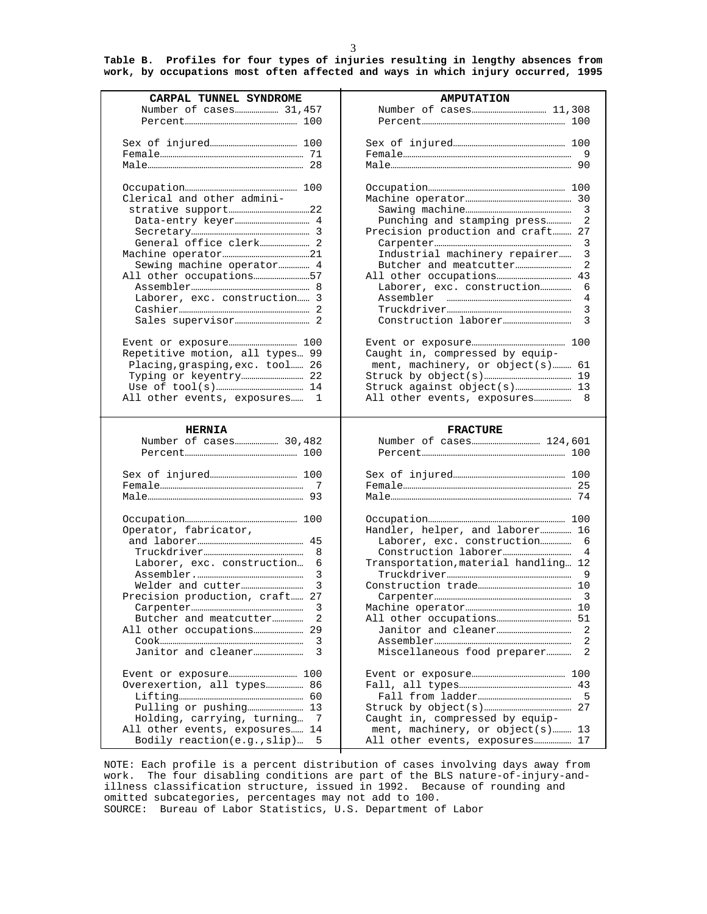**Table B. Profiles for four types of injuries resulting in lengthy absences from work, by occupations most often affected and ways in which injury occurred, 1995**

| CARPAL TUNNEL SYNDROME                                        | <b>AMPUTATION</b>                                                   |
|---------------------------------------------------------------|---------------------------------------------------------------------|
| Number of cases 31,457                                        |                                                                     |
|                                                               |                                                                     |
|                                                               |                                                                     |
|                                                               |                                                                     |
|                                                               |                                                                     |
|                                                               |                                                                     |
|                                                               |                                                                     |
| Clerical and other admini-                                    |                                                                     |
|                                                               |                                                                     |
|                                                               | 2<br>Punching and stamping press                                    |
|                                                               | Precision production and craft 27                                   |
|                                                               | 3                                                                   |
|                                                               | 3<br>Industrial machinery repairer                                  |
| Sewing machine operator 4                                     | 2                                                                   |
| All other occupations57                                       |                                                                     |
|                                                               | 6                                                                   |
| Laborer, exc. construction 3                                  | 4                                                                   |
|                                                               | 3                                                                   |
|                                                               | 3                                                                   |
|                                                               |                                                                     |
| Repetitive motion, all types 99                               | Caught in, compressed by equip-                                     |
| Placing, grasping, exc. tool 26                               | ment, machinery, or object(s) 61                                    |
|                                                               |                                                                     |
|                                                               |                                                                     |
| All other events, exposures<br>1                              | 8<br>All other events, exposures                                    |
|                                                               |                                                                     |
|                                                               |                                                                     |
| <b>HERNIA</b>                                                 | <b>FRACTURE</b>                                                     |
| Number of cases 30,482                                        |                                                                     |
|                                                               |                                                                     |
|                                                               |                                                                     |
|                                                               |                                                                     |
|                                                               |                                                                     |
|                                                               |                                                                     |
|                                                               |                                                                     |
| Operator, fabricator,                                         | Handler, helper, and laborer 16                                     |
| 8                                                             | Laborer, exc. construction 6<br>4                                   |
| Laborer, exc. construction<br>6                               | Transportation, material handling 12                                |
| 3                                                             | 9                                                                   |
| 3                                                             |                                                                     |
| Precision production, craft 27                                | 3                                                                   |
| 3                                                             |                                                                     |
| 2                                                             |                                                                     |
|                                                               |                                                                     |
| 3                                                             | 2                                                                   |
| 3                                                             | 2<br>Miscellaneous food preparer                                    |
|                                                               |                                                                     |
|                                                               |                                                                     |
| Overexertion, all types 86                                    |                                                                     |
|                                                               |                                                                     |
| 7                                                             |                                                                     |
| Holding, carrying, turning<br>All other events, exposures  14 | Caught in, compressed by equip-<br>ment, machinery, or object(s) 13 |

NOTE: Each profile is a percent distribution of cases involving days away from work. The four disabling conditions are part of the BLS nature-of-injury-andillness classification structure, issued in 1992. Because of rounding and omitted subcategories, percentages may not add to 100. SOURCE: Bureau of Labor Statistics, U.S. Department of Labor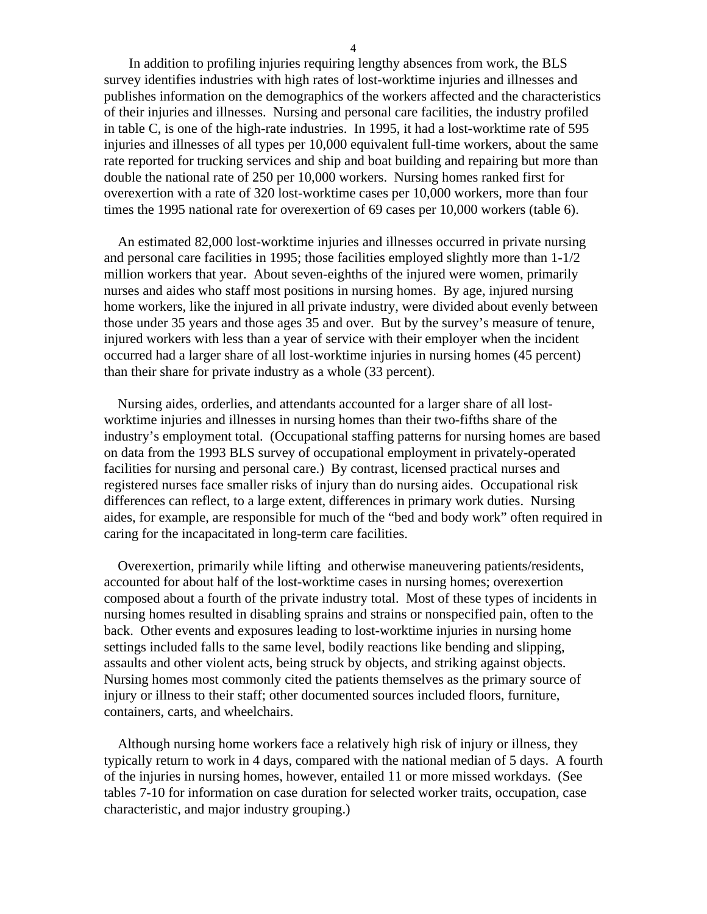In addition to profiling injuries requiring lengthy absences from work, the BLS survey identifies industries with high rates of lost-worktime injuries and illnesses and publishes information on the demographics of the workers affected and the characteristics of their injuries and illnesses. Nursing and personal care facilities, the industry profiled in table C, is one of the high-rate industries. In 1995, it had a lost-worktime rate of 595 injuries and illnesses of all types per 10,000 equivalent full-time workers, about the same rate reported for trucking services and ship and boat building and repairing but more than double the national rate of 250 per 10,000 workers. Nursing homes ranked first for overexertion with a rate of 320 lost-worktime cases per 10,000 workers, more than four times the 1995 national rate for overexertion of 69 cases per 10,000 workers (table 6).

 An estimated 82,000 lost-worktime injuries and illnesses occurred in private nursing and personal care facilities in 1995; those facilities employed slightly more than 1-1/2 million workers that year. About seven-eighths of the injured were women, primarily nurses and aides who staff most positions in nursing homes. By age, injured nursing home workers, like the injured in all private industry, were divided about evenly between those under 35 years and those ages 35 and over. But by the survey's measure of tenure, injured workers with less than a year of service with their employer when the incident occurred had a larger share of all lost-worktime injuries in nursing homes (45 percent) than their share for private industry as a whole (33 percent).

 Nursing aides, orderlies, and attendants accounted for a larger share of all lostworktime injuries and illnesses in nursing homes than their two-fifths share of the industry's employment total. (Occupational staffing patterns for nursing homes are based on data from the 1993 BLS survey of occupational employment in privately-operated facilities for nursing and personal care.) By contrast, licensed practical nurses and registered nurses face smaller risks of injury than do nursing aides. Occupational risk differences can reflect, to a large extent, differences in primary work duties. Nursing aides, for example, are responsible for much of the "bed and body work" often required in caring for the incapacitated in long-term care facilities.

 Overexertion, primarily while lifting and otherwise maneuvering patients/residents, accounted for about half of the lost-worktime cases in nursing homes; overexertion composed about a fourth of the private industry total. Most of these types of incidents in nursing homes resulted in disabling sprains and strains or nonspecified pain, often to the back. Other events and exposures leading to lost-worktime injuries in nursing home settings included falls to the same level, bodily reactions like bending and slipping, assaults and other violent acts, being struck by objects, and striking against objects. Nursing homes most commonly cited the patients themselves as the primary source of injury or illness to their staff; other documented sources included floors, furniture, containers, carts, and wheelchairs.

 Although nursing home workers face a relatively high risk of injury or illness, they typically return to work in 4 days, compared with the national median of 5 days. A fourth of the injuries in nursing homes, however, entailed 11 or more missed workdays. (See tables 7-10 for information on case duration for selected worker traits, occupation, case characteristic, and major industry grouping.)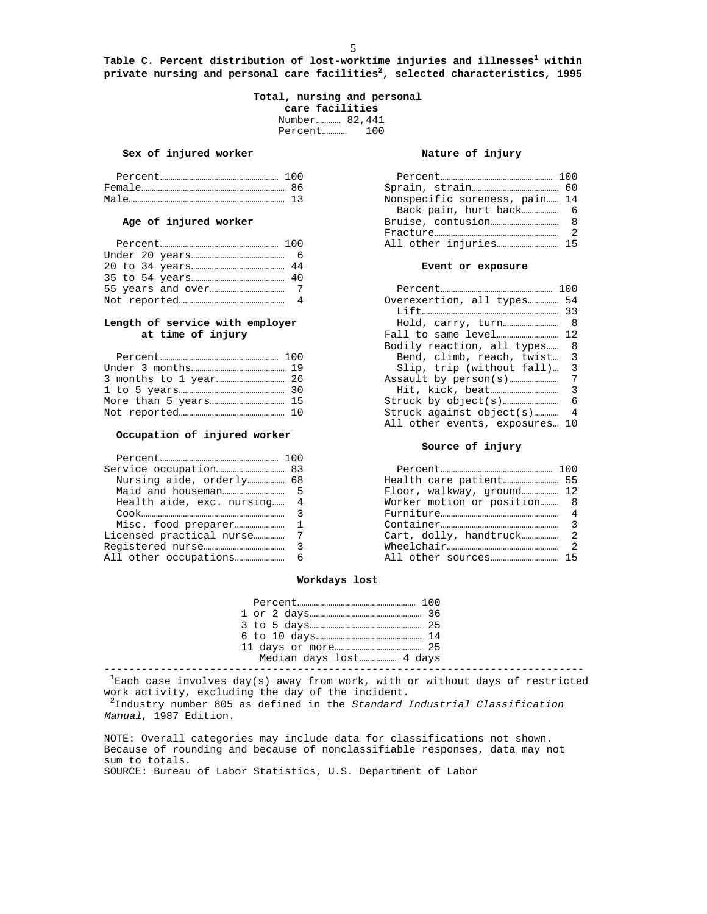**Table C. Percent distribution of lost-worktime injuries and illnesses<sup>1</sup> within private nursing and personal care facilities<sup>2</sup> , selected characteristics, 1995**

> **Total, nursing and personal care facilities** Number………… 82,441 Percent………… 100

### Sex of injured worker **Nature of injury**

| Percent |                               | 1 O O |
|---------|-------------------------------|-------|
| Female  |                               |       |
| Male    | Nonspecific soreness, pain 14 |       |

### Age of injured worker

|  | Event or exposure          |  |
|--|----------------------------|--|
|  |                            |  |
|  |                            |  |
|  | Overexertion, all types 54 |  |

### Length of service with employer at time of injury

|  | Bend, climb, reach, twist 3 |  |
|--|-----------------------------|--|
|  | Slip, trip (without fall) 3 |  |
|  |                             |  |
|  |                             |  |
|  |                             |  |
|  | Struck against object(s) 4  |  |

### **Occupation of injured worker**

| Nursing aide, orderly 68    |                             |
|-----------------------------|-----------------------------|
|                             | Floor, walkway, ground 12   |
| Health aide, exc. nursing 4 | Worker motion or position 8 |
|                             |                             |
|                             |                             |
|                             |                             |
|                             |                             |
|                             |                             |

|                       | Nonspecific soreness, pain 14 |  |
|-----------------------|-------------------------------|--|
|                       |                               |  |
| Age of injured worker |                               |  |
|                       |                               |  |
|                       |                               |  |

### Event or exposure

|                                    | Overexertion, all types 54     |
|------------------------------------|--------------------------------|
|                                    |                                |
| Length of service with employer    |                                |
| at time of injury                  |                                |
|                                    | Bodily reaction, all types 8   |
|                                    | Bend, climb, reach, twist 3    |
|                                    | Slip, trip (without fall) 3    |
|                                    |                                |
|                                    |                                |
| More than 5 years…………………………………… 15 |                                |
| Not reported……………………………………………… 10  | Struck against object(s) 4     |
|                                    | All other events, exposures 10 |

### **Source of injury**

|                             | Floor, walkway, ground 12   |  |
|-----------------------------|-----------------------------|--|
| Health aide, exc. nursing 4 | Worker motion or position 8 |  |
|                             |                             |  |
|                             |                             |  |
|                             |                             |  |
|                             |                             |  |
|                             |                             |  |
|                             |                             |  |

### **Workdays lost**

 $^1$ Each case involves day(s) away from work, with or without days of restricted work activity, excluding the day of the incident.

<sup>2</sup>Industry number 805 as defined in the Standard Industrial Classification Manual, 1987 Edition.

NOTE: Overall categories may include data for classifications not shown. Because of rounding and because of nonclassifiable responses, data may not sum to totals. SOURCE: Bureau of Labor Statistics, U.S. Department of Labor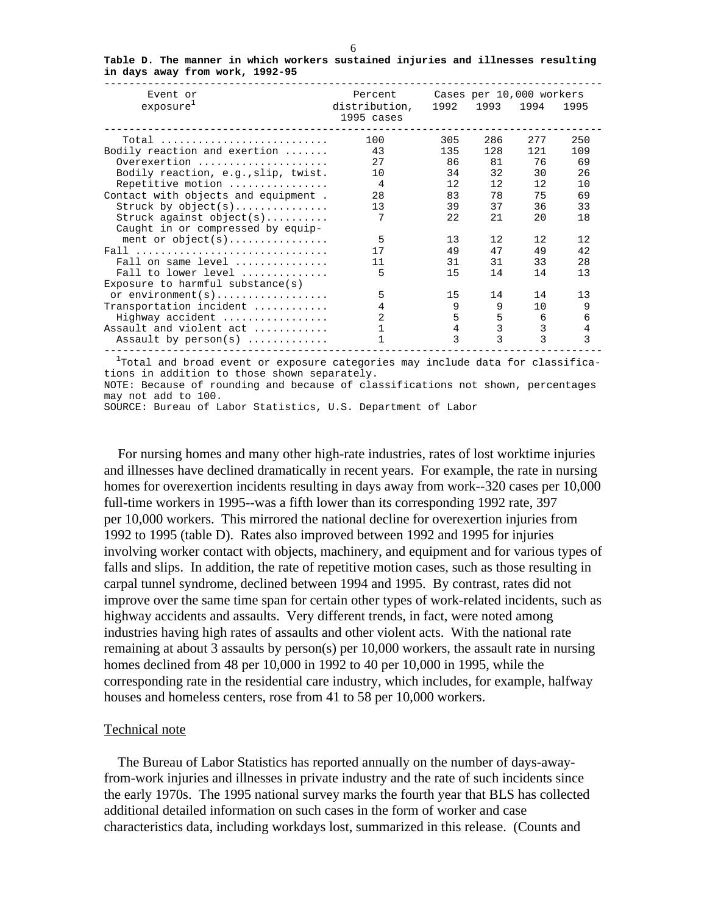| Event or                                     | Percent                     |                 | Cases per 10,000 workers |         |      |
|----------------------------------------------|-----------------------------|-----------------|--------------------------|---------|------|
| exposure <sup>1</sup>                        | distribution,<br>1995 cases |                 | 1992 1993                | 1994    | 1995 |
| Total                                        | 100                         | 305             | 286                      | 277     | 250  |
| Bodily reaction and exertion                 | 43                          | 135             | 128                      | 121     | 109  |
| Overexertion                                 | 2.7                         | 86              | 81                       | 76      | 69   |
| Bodily reaction, e.g., slip, twist.          | 10                          | 34              | 32                       | 30      | 26   |
| Repetitive motion                            | 4                           | 12 <sup>°</sup> | 12 <sup>°</sup>          | 12      | 10   |
| Contact with objects and equipment.          | 28                          | 83              | 78                       | 75      | 69   |
| Struck by object(s)                          | 13                          | 39              | 37                       | 36      | 33   |
| Struck against $object(s)$                   |                             | 22              | 21                       | 20      | 18   |
| Caught in or compressed by equip-            |                             |                 |                          |         |      |
| ment or $object(s)$                          | 5                           | 13              | 12.                      | 12.     | 12   |
| Fall                                         | 17                          | 49              | 47                       | 49      | 42   |
| Fall on same level $\dots\dots\dots\dots$    | 11                          | 31              | 31                       | 33      | 28   |
| Fall to lower level $\ldots, \ldots, \ldots$ | 5                           | 15              | 14                       | 14      | 13   |
| Exposure to harmful substance(s)             |                             |                 |                          |         |      |
|                                              | 5                           | 15              | 14                       | 14      | 13   |
| Transportation incident                      |                             | 9               | 9                        | $10 \,$ | 9    |
| Highway accident                             | 2                           | 5               | 5                        | 6       | 6    |
| Assault and violent act                      |                             | 4               | 3                        | 3       | 4    |
| Assault by $person(s)$                       |                             | ζ               | 3                        | ζ       | 3    |
|                                              |                             |                 |                          |         |      |

**Table D. The manner in which workers sustained injuries and illnesses resulting in days away from work, 1992-95**

 $1$ Total and broad event or exposure categories may include data for classifications in addition to those shown separately. NOTE: Because of rounding and because of classifications not shown, percentages may not add to 100. SOURCE: Bureau of Labor Statistics, U.S. Department of Labor

 For nursing homes and many other high-rate industries, rates of lost worktime injuries and illnesses have declined dramatically in recent years. For example, the rate in nursing homes for overexertion incidents resulting in days away from work--320 cases per 10,000 full-time workers in 1995--was a fifth lower than its corresponding 1992 rate, 397 per 10,000 workers. This mirrored the national decline for overexertion injuries from 1992 to 1995 (table D). Rates also improved between 1992 and 1995 for injuries involving worker contact with objects, machinery, and equipment and for various types of falls and slips. In addition, the rate of repetitive motion cases, such as those resulting in carpal tunnel syndrome, declined between 1994 and 1995. By contrast, rates did not improve over the same time span for certain other types of work-related incidents, such as highway accidents and assaults. Very different trends, in fact, were noted among industries having high rates of assaults and other violent acts. With the national rate remaining at about 3 assaults by person(s) per 10,000 workers, the assault rate in nursing homes declined from 48 per 10,000 in 1992 to 40 per 10,000 in 1995, while the corresponding rate in the residential care industry, which includes, for example, halfway houses and homeless centers, rose from 41 to 58 per 10,000 workers.

# Technical note

 The Bureau of Labor Statistics has reported annually on the number of days-awayfrom-work injuries and illnesses in private industry and the rate of such incidents since the early 1970s. The 1995 national survey marks the fourth year that BLS has collected additional detailed information on such cases in the form of worker and case characteristics data, including workdays lost, summarized in this release. (Counts and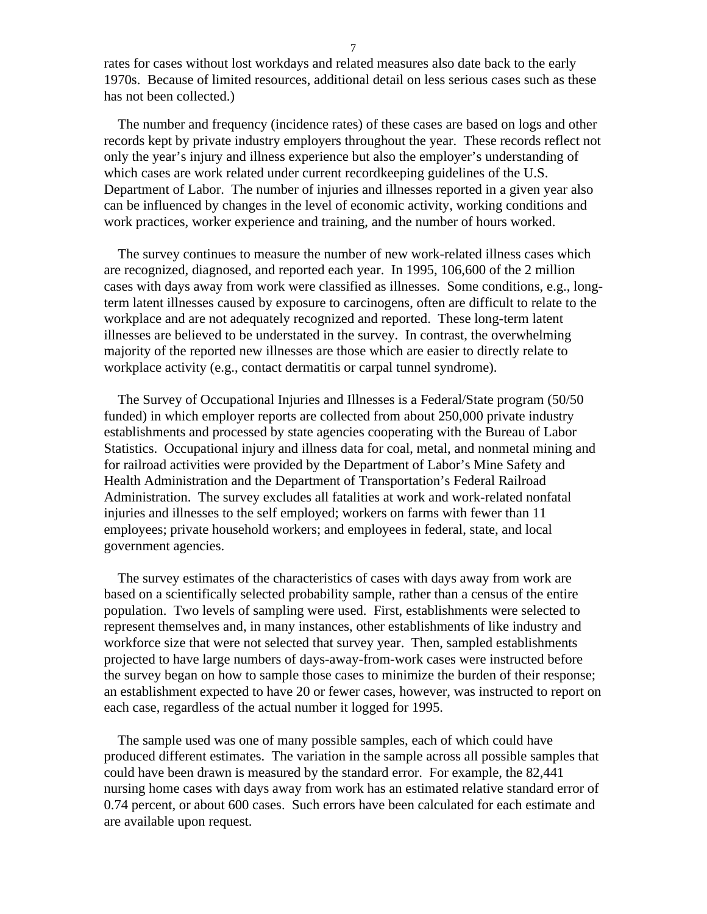rates for cases without lost workdays and related measures also date back to the early 1970s. Because of limited resources, additional detail on less serious cases such as these has not been collected.)

 The number and frequency (incidence rates) of these cases are based on logs and other records kept by private industry employers throughout the year. These records reflect not only the year's injury and illness experience but also the employer's understanding of which cases are work related under current recordkeeping guidelines of the U.S. Department of Labor. The number of injuries and illnesses reported in a given year also can be influenced by changes in the level of economic activity, working conditions and work practices, worker experience and training, and the number of hours worked.

 The survey continues to measure the number of new work-related illness cases which are recognized, diagnosed, and reported each year. In 1995, 106,600 of the 2 million cases with days away from work were classified as illnesses. Some conditions, e.g., longterm latent illnesses caused by exposure to carcinogens, often are difficult to relate to the workplace and are not adequately recognized and reported. These long-term latent illnesses are believed to be understated in the survey. In contrast, the overwhelming majority of the reported new illnesses are those which are easier to directly relate to workplace activity (e.g., contact dermatitis or carpal tunnel syndrome).

 The Survey of Occupational Injuries and Illnesses is a Federal/State program (50/50 funded) in which employer reports are collected from about 250,000 private industry establishments and processed by state agencies cooperating with the Bureau of Labor Statistics. Occupational injury and illness data for coal, metal, and nonmetal mining and for railroad activities were provided by the Department of Labor's Mine Safety and Health Administration and the Department of Transportation's Federal Railroad Administration. The survey excludes all fatalities at work and work-related nonfatal injuries and illnesses to the self employed; workers on farms with fewer than 11 employees; private household workers; and employees in federal, state, and local government agencies.

 The survey estimates of the characteristics of cases with days away from work are based on a scientifically selected probability sample, rather than a census of the entire population. Two levels of sampling were used. First, establishments were selected to represent themselves and, in many instances, other establishments of like industry and workforce size that were not selected that survey year. Then, sampled establishments projected to have large numbers of days-away-from-work cases were instructed before the survey began on how to sample those cases to minimize the burden of their response; an establishment expected to have 20 or fewer cases, however, was instructed to report on each case, regardless of the actual number it logged for 1995.

 The sample used was one of many possible samples, each of which could have produced different estimates. The variation in the sample across all possible samples that could have been drawn is measured by the standard error. For example, the 82,441 nursing home cases with days away from work has an estimated relative standard error of 0.74 percent, or about 600 cases. Such errors have been calculated for each estimate and are available upon request.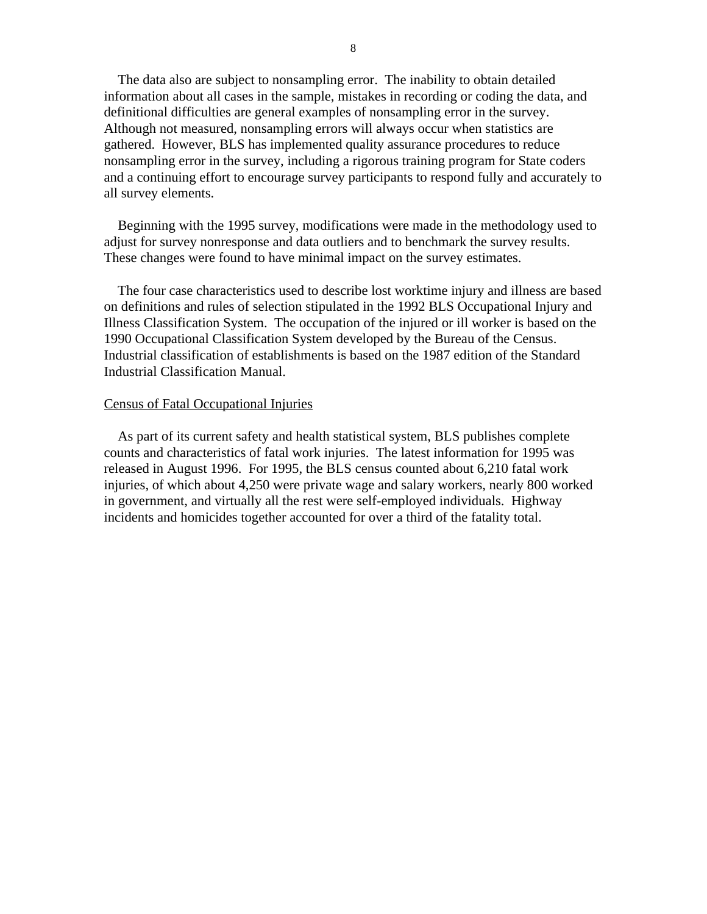The data also are subject to nonsampling error. The inability to obtain detailed information about all cases in the sample, mistakes in recording or coding the data, and definitional difficulties are general examples of nonsampling error in the survey. Although not measured, nonsampling errors will always occur when statistics are gathered. However, BLS has implemented quality assurance procedures to reduce nonsampling error in the survey, including a rigorous training program for State coders and a continuing effort to encourage survey participants to respond fully and accurately to all survey elements.

 Beginning with the 1995 survey, modifications were made in the methodology used to adjust for survey nonresponse and data outliers and to benchmark the survey results. These changes were found to have minimal impact on the survey estimates.

 The four case characteristics used to describe lost worktime injury and illness are based on definitions and rules of selection stipulated in the 1992 BLS Occupational Injury and Illness Classification System. The occupation of the injured or ill worker is based on the 1990 Occupational Classification System developed by the Bureau of the Census. Industrial classification of establishments is based on the 1987 edition of the Standard Industrial Classification Manual.

## Census of Fatal Occupational Injuries

 As part of its current safety and health statistical system, BLS publishes complete counts and characteristics of fatal work injuries. The latest information for 1995 was released in August 1996. For 1995, the BLS census counted about 6,210 fatal work injuries, of which about 4,250 were private wage and salary workers, nearly 800 worked in government, and virtually all the rest were self-employed individuals. Highway incidents and homicides together accounted for over a third of the fatality total.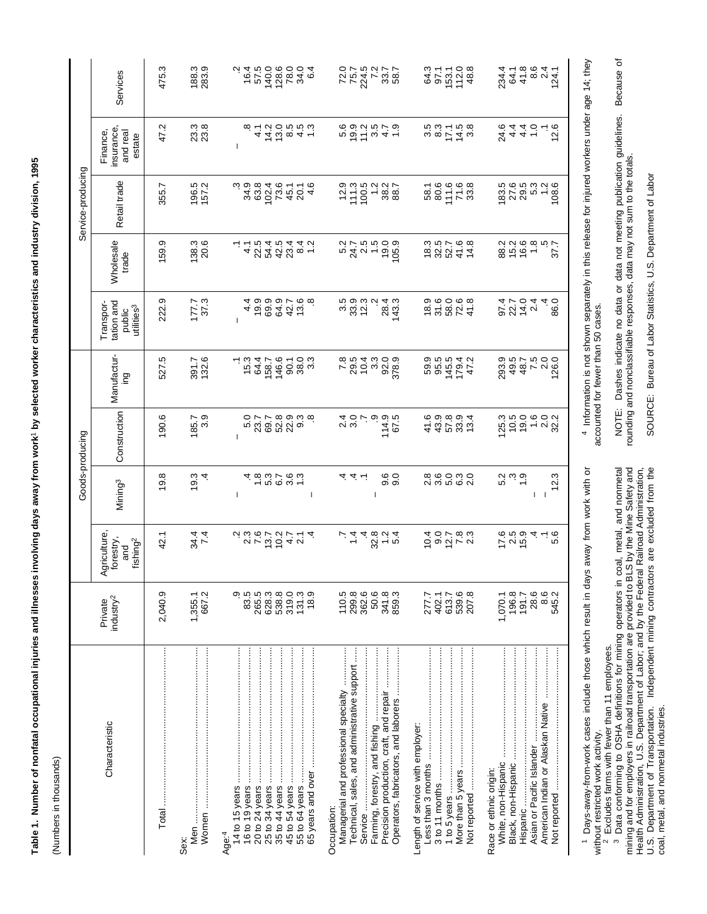| $\begin{array}{c}\n\alpha \leftarrow \alpha \cap C \\ \alpha \leftarrow \alpha \cap C \\ \alpha \cup C \\ \alpha \cup C \\ \alpha \cup C \\ \alpha \cup C\n\end{array}$<br>Retail trade<br>8<br>2006<br>2017<br>2017<br>196.5<br>157.2<br>ه به به<br>که به<br>که به<br>83.5<br>27.6<br>$29.5$<br>$5.3$<br>355.7<br>$\frac{102.4}{73.6}$<br>12.9<br>111.3<br>10.23<br>10.23<br>10.25<br>1.2<br>108.6<br>$45.1$<br>2016<br>4.5<br>Wholesale<br>$\begin{array}{c} 23.76 \\ 25.76 \\ 26.77 \\ 27.76 \\ 28.77 \\ 29.77 \\ 29.79 \\ 20.79 \\ 21.79 \\ 22.79 \\ 23.79 \\ 24.79 \\ 25.79 \\ 26.79 \\ 27.79 \\ 28.79 \\ 29.79 \\ 29.79 \\ 29.79 \\ 29.79 \\ 29.79 \\ 29.79 \\ 29.79 \\ 29.79 \\ 29.79 \\ 29.79 \\ 29.79 \\ 29.79 \\ 29.79 \\ 29.79 \\ 29$<br>8<br>8 10 10 10 10<br>8 10 10 10 11<br>159.9<br>138.3<br>20.6<br>トーさんさんはトーム<br>トーさんさんはトーム<br>19.9<br>105.9<br>37.7<br>trade<br>8<br>8 9 9 9 9 9<br>8 9 9 9 9<br>4 6 6 6 4 5<br>4 6 9 4 7 6 7<br>4 9 9 9 7 6 8<br>5<br>3 3 3 4<br>5 4 5 7<br>924<br>924<br>924<br>222.9<br>177.3<br>Ņ<br>28.4<br>143.3<br>86.0<br>4<br>tation and<br>utilities <sup>3</sup><br>public<br>Manufactur-<br>146.6<br>8<br>8 8 8 9 9 7<br>8 9 9 9 9 9<br>293.5<br>49.7<br>48.7<br>29.95<br>2.0<br>126.0<br>527.5<br>$-5.3$<br>$-3.3$<br>႕ ၀<br>၀ စ္တ က<br>၀ စ<br>391.7<br>132.6<br>158.7<br>ing<br>Construction<br>190.6<br>raona<br>စိုက်ပါ<br>raona<br>525<br>1975<br>1979.99<br>440904<br>450954<br>$25.3$<br>$29.5$<br>$29.7$<br>$29.2$<br>$20.2$<br><br><br><br><br><br><br><br><br><br><br><br><br><br><br><br><br><br><br><br><br><br><br><br><br><br><br>185.7<br>5.0<br>23.7<br>4837687<br>8 8 9 9 8 9<br>2 8 9 8 9 8<br>19.8<br>19.3<br>စ္ပ ၀<br>၀ ၀<br>ت<br>ب<br>ب<br>न न न<br>5.2<br>12.3<br>Mining <sup>3</sup><br>I<br>$\mathbf{I}$<br>T<br>-1<br>22122422222<br>5 2 5 9<br>7 9 5 1<br>$-89 - 0$<br>$-448044$<br>10783<br>10783<br>$\vec{r}$<br>34.4<br>7.4<br>5.6<br>42.1<br>forestry,<br>fishing <sup>2</sup><br>and<br>9<br>83<br>9<br>265.5<br>319.0<br>131.3<br>110.5<br>299.8<br>362.6<br>50.6<br>341.8<br>207.8<br>28.6<br>8.6<br>2,040.9<br>667.2<br>628.3<br>538.8<br>18.9<br>859.3<br>539.6<br>196.8<br>191.7<br>545.2<br>1,355.1<br>277.7<br>402.1<br>613.7<br>1,070.1<br>industry <sup>2</sup><br>Managerial and professional specialty<br>Technical, sales, and administrative support<br>Precision production, craft, and repair<br>Operators, fabricators, and laborers<br>Characteristic<br>Length of service with employer:<br>Asian or Pacific Islander<br>1 to 5 years<br>Not reported<br>Race or ethnic origin: |         |              | Goods-producing |           | Service-producing |                                              |                                                                                  |
|---------------------------------------------------------------------------------------------------------------------------------------------------------------------------------------------------------------------------------------------------------------------------------------------------------------------------------------------------------------------------------------------------------------------------------------------------------------------------------------------------------------------------------------------------------------------------------------------------------------------------------------------------------------------------------------------------------------------------------------------------------------------------------------------------------------------------------------------------------------------------------------------------------------------------------------------------------------------------------------------------------------------------------------------------------------------------------------------------------------------------------------------------------------------------------------------------------------------------------------------------------------------------------------------------------------------------------------------------------------------------------------------------------------------------------------------------------------------------------------------------------------------------------------------------------------------------------------------------------------------------------------------------------------------------------------------------------------------------------------------------------------------------------------------------------------------------------------------------------------------------------------------------------------------------------------------------------------------------------------------------------------------------------------------------------------------------------------------------------------------------------------------------------------------------------------------------------------------------------------------------------------------------------------------------------------------------------------------------------------------------------------------------------------------------------------------------------------------------------------------------------------------------------------------------------------------------------|---------|--------------|-----------------|-----------|-------------------|----------------------------------------------|----------------------------------------------------------------------------------|
|                                                                                                                                                                                                                                                                                                                                                                                                                                                                                                                                                                                                                                                                                                                                                                                                                                                                                                                                                                                                                                                                                                                                                                                                                                                                                                                                                                                                                                                                                                                                                                                                                                                                                                                                                                                                                                                                                                                                                                                                                                                                                                                                                                                                                                                                                                                                                                                                                                                                                                                                                                                 | Private | Agriculture, |                 | Transpor- |                   | insurance,<br>Finance,<br>and real<br>estate | Services                                                                         |
|                                                                                                                                                                                                                                                                                                                                                                                                                                                                                                                                                                                                                                                                                                                                                                                                                                                                                                                                                                                                                                                                                                                                                                                                                                                                                                                                                                                                                                                                                                                                                                                                                                                                                                                                                                                                                                                                                                                                                                                                                                                                                                                                                                                                                                                                                                                                                                                                                                                                                                                                                                                 |         |              |                 |           |                   | 47.2                                         | 475.3                                                                            |
|                                                                                                                                                                                                                                                                                                                                                                                                                                                                                                                                                                                                                                                                                                                                                                                                                                                                                                                                                                                                                                                                                                                                                                                                                                                                                                                                                                                                                                                                                                                                                                                                                                                                                                                                                                                                                                                                                                                                                                                                                                                                                                                                                                                                                                                                                                                                                                                                                                                                                                                                                                                 |         |              |                 |           |                   | 23.8<br>23.8                                 | 188.3<br>283.9                                                                   |
|                                                                                                                                                                                                                                                                                                                                                                                                                                                                                                                                                                                                                                                                                                                                                                                                                                                                                                                                                                                                                                                                                                                                                                                                                                                                                                                                                                                                                                                                                                                                                                                                                                                                                                                                                                                                                                                                                                                                                                                                                                                                                                                                                                                                                                                                                                                                                                                                                                                                                                                                                                                 |         |              |                 |           |                   |                                              |                                                                                  |
|                                                                                                                                                                                                                                                                                                                                                                                                                                                                                                                                                                                                                                                                                                                                                                                                                                                                                                                                                                                                                                                                                                                                                                                                                                                                                                                                                                                                                                                                                                                                                                                                                                                                                                                                                                                                                                                                                                                                                                                                                                                                                                                                                                                                                                                                                                                                                                                                                                                                                                                                                                                 |         |              |                 |           |                   |                                              | 2 16 15<br>2 16 17                                                               |
|                                                                                                                                                                                                                                                                                                                                                                                                                                                                                                                                                                                                                                                                                                                                                                                                                                                                                                                                                                                                                                                                                                                                                                                                                                                                                                                                                                                                                                                                                                                                                                                                                                                                                                                                                                                                                                                                                                                                                                                                                                                                                                                                                                                                                                                                                                                                                                                                                                                                                                                                                                                 |         |              |                 |           |                   |                                              |                                                                                  |
|                                                                                                                                                                                                                                                                                                                                                                                                                                                                                                                                                                                                                                                                                                                                                                                                                                                                                                                                                                                                                                                                                                                                                                                                                                                                                                                                                                                                                                                                                                                                                                                                                                                                                                                                                                                                                                                                                                                                                                                                                                                                                                                                                                                                                                                                                                                                                                                                                                                                                                                                                                                 |         |              |                 |           |                   |                                              | 4 5 1 2 3<br>0 6 0 0 4<br>0 6 0 0 4                                              |
|                                                                                                                                                                                                                                                                                                                                                                                                                                                                                                                                                                                                                                                                                                                                                                                                                                                                                                                                                                                                                                                                                                                                                                                                                                                                                                                                                                                                                                                                                                                                                                                                                                                                                                                                                                                                                                                                                                                                                                                                                                                                                                                                                                                                                                                                                                                                                                                                                                                                                                                                                                                 |         |              |                 |           |                   |                                              |                                                                                  |
|                                                                                                                                                                                                                                                                                                                                                                                                                                                                                                                                                                                                                                                                                                                                                                                                                                                                                                                                                                                                                                                                                                                                                                                                                                                                                                                                                                                                                                                                                                                                                                                                                                                                                                                                                                                                                                                                                                                                                                                                                                                                                                                                                                                                                                                                                                                                                                                                                                                                                                                                                                                 |         |              |                 |           |                   | 69259779                                     | 72.0<br>75.7                                                                     |
|                                                                                                                                                                                                                                                                                                                                                                                                                                                                                                                                                                                                                                                                                                                                                                                                                                                                                                                                                                                                                                                                                                                                                                                                                                                                                                                                                                                                                                                                                                                                                                                                                                                                                                                                                                                                                                                                                                                                                                                                                                                                                                                                                                                                                                                                                                                                                                                                                                                                                                                                                                                 |         |              |                 |           |                   |                                              |                                                                                  |
|                                                                                                                                                                                                                                                                                                                                                                                                                                                                                                                                                                                                                                                                                                                                                                                                                                                                                                                                                                                                                                                                                                                                                                                                                                                                                                                                                                                                                                                                                                                                                                                                                                                                                                                                                                                                                                                                                                                                                                                                                                                                                                                                                                                                                                                                                                                                                                                                                                                                                                                                                                                 |         |              |                 |           |                   |                                              |                                                                                  |
|                                                                                                                                                                                                                                                                                                                                                                                                                                                                                                                                                                                                                                                                                                                                                                                                                                                                                                                                                                                                                                                                                                                                                                                                                                                                                                                                                                                                                                                                                                                                                                                                                                                                                                                                                                                                                                                                                                                                                                                                                                                                                                                                                                                                                                                                                                                                                                                                                                                                                                                                                                                 |         |              |                 |           |                   |                                              |                                                                                  |
|                                                                                                                                                                                                                                                                                                                                                                                                                                                                                                                                                                                                                                                                                                                                                                                                                                                                                                                                                                                                                                                                                                                                                                                                                                                                                                                                                                                                                                                                                                                                                                                                                                                                                                                                                                                                                                                                                                                                                                                                                                                                                                                                                                                                                                                                                                                                                                                                                                                                                                                                                                                 |         |              |                 |           |                   |                                              | 895148<br>896548                                                                 |
|                                                                                                                                                                                                                                                                                                                                                                                                                                                                                                                                                                                                                                                                                                                                                                                                                                                                                                                                                                                                                                                                                                                                                                                                                                                                                                                                                                                                                                                                                                                                                                                                                                                                                                                                                                                                                                                                                                                                                                                                                                                                                                                                                                                                                                                                                                                                                                                                                                                                                                                                                                                 |         |              |                 |           |                   |                                              |                                                                                  |
|                                                                                                                                                                                                                                                                                                                                                                                                                                                                                                                                                                                                                                                                                                                                                                                                                                                                                                                                                                                                                                                                                                                                                                                                                                                                                                                                                                                                                                                                                                                                                                                                                                                                                                                                                                                                                                                                                                                                                                                                                                                                                                                                                                                                                                                                                                                                                                                                                                                                                                                                                                                 |         |              |                 |           |                   | 8<br>4447<br>644076                          | $24 + 8$<br>$64 + 8$<br>$64 - 8$<br>$64 - 8$<br>$64 - 8$<br>$64 - 8$<br>$64 - 8$ |
|                                                                                                                                                                                                                                                                                                                                                                                                                                                                                                                                                                                                                                                                                                                                                                                                                                                                                                                                                                                                                                                                                                                                                                                                                                                                                                                                                                                                                                                                                                                                                                                                                                                                                                                                                                                                                                                                                                                                                                                                                                                                                                                                                                                                                                                                                                                                                                                                                                                                                                                                                                                 |         |              |                 |           |                   |                                              |                                                                                  |

1 Days-away-from-work cases include those which result in days away from work with or Days-away-from-work cases include those which result in days away from work with or without restricted work activity.

without restricted work activity.<br><sup>2</sup> Excludes farms with fewer than 11 employees.<br><sup>3</sup> Data conforming to OSHA definitions for mining operators in coal, metal, and nonmetal mining and for employers in railroad transportation are provided to BLS by the Mine Safety and Health Administration, U.S. Department of Labor; and by the Federal Railroad Administration, U.S. Department of Transportation. Independent mining contractors are excluded from the coal, metal, and nonmetal industries.

NOTE: Dashes indicate no data or data not meeting publication guidelines. Because of<br>rounding and nonclassifiable responses, data may not sum to the totals. NOTE: Dashes indicate no data or data not meeting publication guidelines. Because of

4 Information is not shown separately in this release for injured workers under age 14; they Information is not shown separately in this release for injured workers under age 14; they

accounted for fewer than 50 cases.

accounted for fewer than 50 cases.

SOURCE: Bureau of Labor Statistics, U.S. Department of Labor SOURCE: Bureau of Labor Statistics, U.S. Department of Labor

rounding and nonclassifiable responses, data may not sum to the totals.

Table 1. Number of nonfatal occupational injuries and illnesses involving days away from work' by selected worker characteristics and industry division, 1995 **Table 1. Number of nonfatal occupational injuries and illnesses involving days away from work**1 **by selected worker characteristics and industry division, 1995**

(Numbers in thousands) (Numbers in thousands)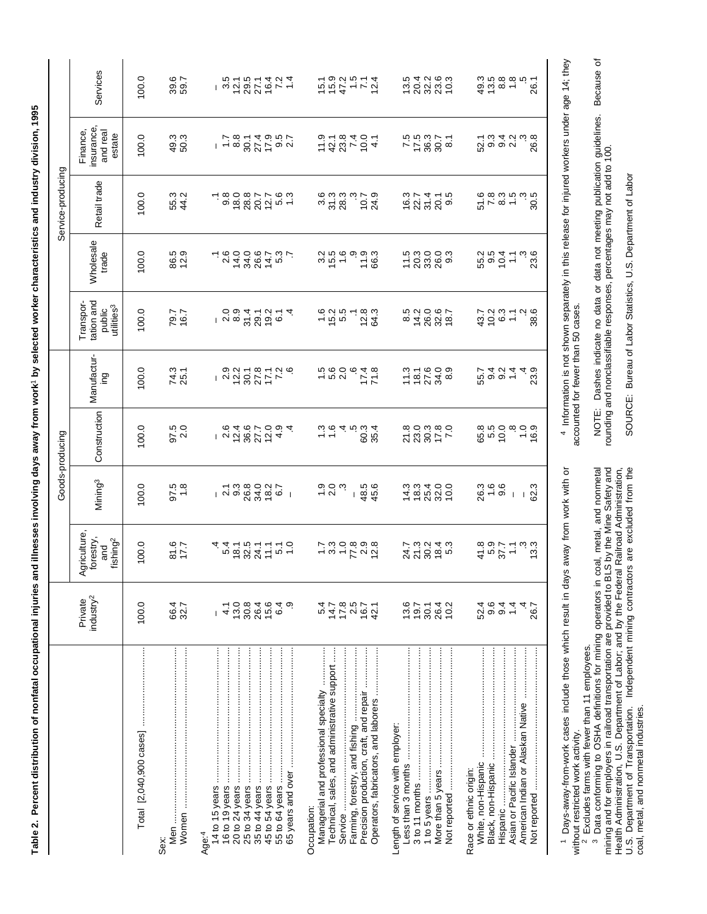| ֧֧֢ׅ֧֧֧֧֧֧֧֧֧֚֚֚֚֚֚֚֚֚֚֚֚֚֚֚֚֚֚֚֚֡֝֓֝֬֝֓֝֬֓֝֬֓֬֜ |                                                                                                                                                                                            |  |
|--------------------------------------------------|--------------------------------------------------------------------------------------------------------------------------------------------------------------------------------------------|--|
|                                                  |                                                                                                                                                                                            |  |
|                                                  |                                                                                                                                                                                            |  |
|                                                  |                                                                                                                                                                                            |  |
|                                                  |                                                                                                                                                                                            |  |
|                                                  |                                                                                                                                                                                            |  |
|                                                  |                                                                                                                                                                                            |  |
|                                                  | ١                                                                                                                                                                                          |  |
|                                                  |                                                                                                                                                                                            |  |
|                                                  |                                                                                                                                                                                            |  |
|                                                  |                                                                                                                                                                                            |  |
|                                                  |                                                                                                                                                                                            |  |
|                                                  |                                                                                                                                                                                            |  |
|                                                  |                                                                                                                                                                                            |  |
|                                                  | $\ddot{\phantom{a}}$                                                                                                                                                                       |  |
|                                                  |                                                                                                                                                                                            |  |
|                                                  |                                                                                                                                                                                            |  |
|                                                  |                                                                                                                                                                                            |  |
|                                                  |                                                                                                                                                                                            |  |
|                                                  | ֧֖֖֖֧ׅ֧֪֪֪ׅ֦֧֪ׅ֪֧֪ׅ֪ׅ֪֧֪ׅ֧֪ׅ֧֪ׅ֧֧֪ׅ֧֧֚֚֚֚֚֚֚֚֚֚֚֚֚֚֚֚֚֚֚֚֚֚֚֚֚֚֚֚֚֝֝֝֓֞֝֓֝֬֓֬֝֬֝֬֓֬֝֬֓֬֝֬֝֬֝֬֝֬<br>֦֖֖֖֖֖֖֧֖ׅׅ֖֧֖֧֪ׅ֪֧֧֪֧֪֧֪֧֧֧֚֚֚֚֚֚֚֚֚֚֚֚֚֚֚֚֚֚֚֚֚֝֓֝֝֝֬֓֝֓֞֬֝֓֬֓֬֝֓֬֝֓֬֝֬֝֬֝֬֝֬֝֬֝֬֝֬֝֬ |  |
|                                                  |                                                                                                                                                                                            |  |
|                                                  |                                                                                                                                                                                            |  |
|                                                  |                                                                                                                                                                                            |  |
| i                                                |                                                                                                                                                                                            |  |
|                                                  |                                                                                                                                                                                            |  |
|                                                  |                                                                                                                                                                                            |  |
|                                                  | <b>See in line</b>                                                                                                                                                                         |  |
|                                                  |                                                                                                                                                                                            |  |
|                                                  |                                                                                                                                                                                            |  |
|                                                  |                                                                                                                                                                                            |  |
|                                                  |                                                                                                                                                                                            |  |
|                                                  |                                                                                                                                                                                            |  |
|                                                  |                                                                                                                                                                                            |  |
|                                                  |                                                                                                                                                                                            |  |
|                                                  | ֚֚֡                                                                                                                                                                                        |  |
|                                                  |                                                                                                                                                                                            |  |
| I                                                |                                                                                                                                                                                            |  |
|                                                  |                                                                                                                                                                                            |  |
| I                                                |                                                                                                                                                                                            |  |

95

|                                                                                                                                                            |                                                      |                                                               |                                                                                                                                                                                                                                | Goods-producing                    |                               |                                                             |                           | Service-producing          |                                              |                      |
|------------------------------------------------------------------------------------------------------------------------------------------------------------|------------------------------------------------------|---------------------------------------------------------------|--------------------------------------------------------------------------------------------------------------------------------------------------------------------------------------------------------------------------------|------------------------------------|-------------------------------|-------------------------------------------------------------|---------------------------|----------------------------|----------------------------------------------|----------------------|
|                                                                                                                                                            | industry <sup>2</sup><br>Private                     | <b>griculture</b><br>forestry,<br>fishing <sup>2</sup><br>and | Mining <sup>3</sup>                                                                                                                                                                                                            | Construction                       | Manufactur-<br>Ωui            | tation and<br>Transpor-<br>utilities <sup>3</sup><br>public | <b>Wholesale</b><br>trade | Retail trade               | insurance,<br>Finance,<br>and real<br>estate | Services             |
| Total [2,040,900 cases]                                                                                                                                    | 100.0                                                | 100.0                                                         | 100.0                                                                                                                                                                                                                          | 100.0                              | 100.0                         | 100.0                                                       | 0.001                     | 100.0                      | 100.0                                        | 100.0                |
| Sex:                                                                                                                                                       | 66.4<br>32.7                                         | 81.5                                                          | $97.5$<br>1.8                                                                                                                                                                                                                  | 97.5<br>2.0                        | 74.3<br>25.1                  | 79.7<br>16.7                                                | 86.5<br>12.9              | 55.3<br>44.2               | $49.3$<br>50.3                               | 39.7                 |
| Age:4                                                                                                                                                      | 13.0<br>30.8<br>26.4<br>15.6<br>တ<br>4.1<br>6.4<br>L | $4.470877700$<br>$2.6877700$                                  | $1, 2, 3, 4, 6, 6, 7, 8, 6, 6, 7, 8, 6, 6, 7, 8, 6, 6, 7, 8, 6, 6, 7, 8, 6, 6, 7, 8, 6, 6, 7, 8, 6, 6, 7, 8, 6, 6, 7, 8, 6, 7, 8, 6, 7, 8, 6, 7, 8, 6, 7, 8, 6, 7, 8, 6, 7, 8, 6, 7, 8, 6, 7, 8, 6, 7, 8, 6, 7, 8, 6, 7, 8, 6$ |                                    | - 223277<br>- 232777          |                                                             | cococcion<br>- cococcion  | - 808016631<br>- 8080166   | $1 - 8997799$<br>$-8997799$                  |                      |
| Managerial and professional specialty<br>Technical, sales, and administrative support<br>Precision production, craft, and repair<br>Service<br>Occupation: | $7.8$<br>2.5<br>16.7<br>547<br>44<br>42.1            | $5.8088$<br>$5.8088$                                          | $\frac{1}{2}$ o $\frac{1}{2}$ o $\frac{1}{2}$<br>48.5<br>45.6<br>$\mathbf{I}$                                                                                                                                                  |                                    | $1.800048$<br>1.0004.00       | $-0.05$<br>$-0.05$<br>- 23<br>- 23                          | 250933<br>250933          | sa sa ca<br>ca ca ca       | 1422 104<br>2522 104                         | 15021514<br>15021514 |
| Length of service with employer:                                                                                                                           | $13.6$<br>$19.7$<br>30.1<br>26.4<br>10.2             | 21<br>212866<br>2286                                          | 1<br>1<br>1<br>1<br>1<br>1<br>2<br>2<br>2<br>2<br>2<br>2<br>2<br>2<br>2<br>2<br>2<br>2<br>2<br>1<br>2<br>2<br>2<br>2<br>2<br>2<br>2<br>2<br>2<br>2<br>2<br>2<br>2<br>2<br>                                                     | 223877<br>23877                    | $7.488$<br>$7.488$            | 822067<br>82826                                             | 5<br>200903<br>2009       | 107416<br>107509           | 158851<br>158851                             | 5<br>20220<br>20220  |
| White, non-Hispanic<br>Race or ethnic origin:                                                                                                              | $0, 4, 4$<br>$0, 4, 4$<br>52.4<br>4<br>26.7          | $41.8$<br>$5.7$<br>$7.7$<br>$1.1$<br>ون<br>ون                 | က္ ဖ ဖ<br>ထို — စ ၊ ၂ က္ထ<br>က                                                                                                                                                                                                 | 8<br>8<br>8 9 9 9 9 9<br>8 9 9 9 9 | a va a o<br>a o a a o<br>55.7 | $3001$<br>$4502$<br>ە بە<br>38                              | ه به<br>23                | $5 - 8 - 8$<br>$6 - 8 - 8$ | င် ပိုင်းတို့<br>မိုင်းတို့ မိုင်းတို့       |                      |
|                                                                                                                                                            |                                                      |                                                               |                                                                                                                                                                                                                                |                                    |                               |                                                             |                           |                            |                                              |                      |

<sup>1</sup> Days-away-from-work cases include those which result in days away from work with or Days-away-from-work cases include those which result in days away from work with or without restricted work activity.<br><sup>2</sup> Excludes farms with fewer than 11 employees.<br><sup>3</sup> Data conforming to OSHA definitions for mining operators in coal, metal, and nonmetal without restricted work activity.

witchcare with few with the than 11 employees.<br><sup>2</sup> Data conforming to OSHA definitions for mining operators in coal, metal, and nonmetal<br><sup>3</sup> Data conforming to OSHA definitions for mining operators in coal, metal, and nonm mining and for employers in railroad transportation are provided to BLS by the Mine Safety and Health Administration, U.S. Department of Labor; and by the Federal Railroad Administration, U.S. Department of Transportation. Independent mining contractors are excluded from the coal, metal, and nonmetal industries.

4 Information is not shown separately in this release for injured workers under age 14; they Information is not shown separately in this release for injured workers under age 14; they accounted for fewer than 50 cases. accounted for fewer than 50 cases.

NOTE: Dashes indicate no data or data not meeting publication guidelines. Because of<br>rounding and nonclassifiable responses, percentages may not add to 100. NOTE: Dashes indicate no data or data not meeting publication guidelines. Because of rounding and nonclassifiable responses, percentages may not add to 100.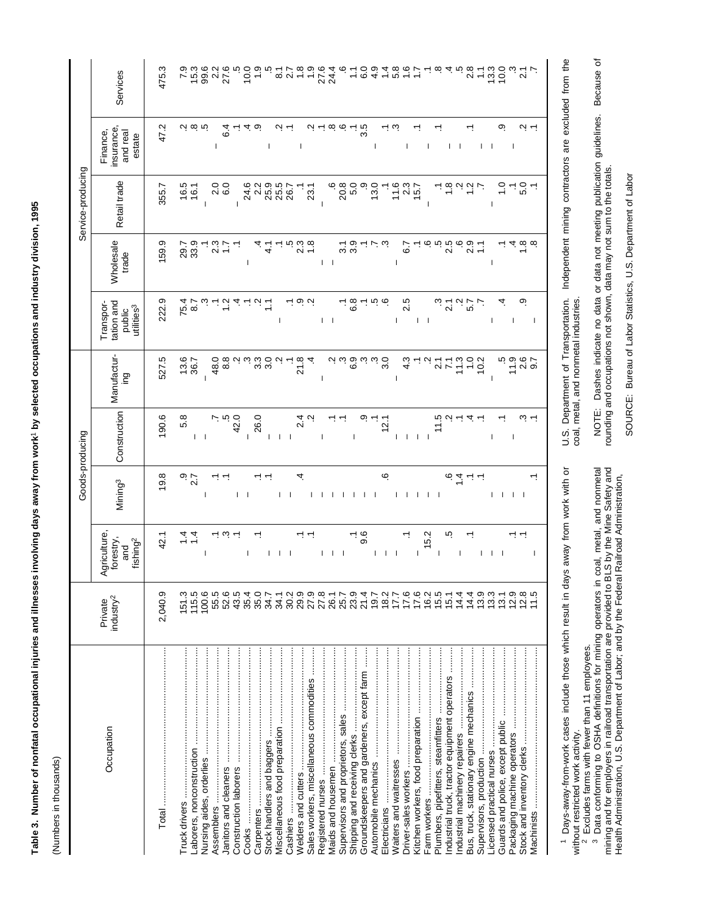Table 3. Number of nonfatal occupational injuries and illnesses involving days away from work' by selected occupations and industry division, 1995 **Table 3. Number of nonfatal occupational injuries and illnesses involving days away from work**1 **by selected occupations and industry division, 1995**

(Numbers in thousands) (Numbers in thousands)

|                   | Services                                                    | 475.3   | 7.9             | 15.3<br>99.6                 | 27.6<br>$\frac{2}{3}$               |                | 0.01         |                  |              | <u>ය</u>     | $\overline{2}$ | $\frac{0}{1}$<br>$\frac{8}{10}$          | 27.6 | 24.4                           |                   |                          | 6.0                                       | $\frac{9}{4}$ | $\frac{4}{1}$ | 5.8            | 1.6          |                   |      |                  |                                               |                    | 2.8                                     |            | 13.3         | 10.0           |              | $\overline{2.1}$         |    |                                                                          |
|-------------------|-------------------------------------------------------------|---------|-----------------|------------------------------|-------------------------------------|----------------|--------------|------------------|--------------|--------------|----------------|------------------------------------------|------|--------------------------------|-------------------|--------------------------|-------------------------------------------|---------------|---------------|----------------|--------------|-------------------|------|------------------|-----------------------------------------------|--------------------|-----------------------------------------|------------|--------------|----------------|--------------|--------------------------|----|--------------------------------------------------------------------------|
|                   | insurance<br>Finance,<br>and real<br>estate                 | 47.2    |                 | လှုထု ကု                     | $\overline{1}$                      | 6.4            | ব ত          |                  | $\mathbf{I}$ |              |                | J.                                       | Ņ    | $\infty$                       |                   | Σ,                       | 3.5                                       |               |               | S.             | T            |                   | T    |                  | $\mathbf{I}$ $\mathbf{I}$                     |                    |                                         | $1 - 1$    |              | တ္             | $\mathbf{I}$ | ب بہ                     |    |                                                                          |
| Service-producing | Retail trade                                                | 355.7   | 16.5            | 16.1                         | 0<br>6.0<br>$\overline{\mathsf{N}}$ | $\overline{1}$ | 24.6         | 2.2              | 25.9         | 25.5         | 26.7           |                                          | 23.1 |                                | 20.8              | 5.0                      |                                           | 13.0          |               | 11.6           | 2.3          | 15.7              |      |                  |                                               |                    |                                         |            |              | $\frac{0}{1}$  | ↸.           | 5.0                      |    | Independent mining contractors are excluded from the                     |
|                   | Wholesale<br>trade                                          | 159.9   | 29.9<br>33.9    |                              | 23                                  |                | T            |                  | ्<br>प       |              |                | 23<br>2                                  |      | T.<br>$\overline{\phantom{a}}$ | ო                 | 3.9                      |                                           |               |               | I              | 57           |                   | ဖ    | rö               | 2.5                                           | ڥ                  | 2.9                                     | $\ddot{ }$ | T            |                |              | $rac{\infty}{1}$         |    |                                                                          |
|                   | tation and<br>Transpor-<br>utilities <sup>3</sup><br>public | 222.9   | 75.4            | 87                           |                                     |                |              |                  | $\mathbb{I}$ | J.           |                | بی ن                                     |      | $\mathbf{I}$                   |                   | 6.8                      |                                           |               | က္ ထု         | T              | 2.5          | $\vert \ \ \vert$ |      |                  | 2.1                                           | $\dot{\mathsf{c}}$ | 57                                      |            | T            | 4              | -1           | တ္                       | J  |                                                                          |
|                   | Manufactur-<br>ing                                          | 527.5   | 13.6            | 36.7<br>$\mathbf{I}$         | 48.0<br>8.8                         |                | $\omega$     | $3.\overline{3}$ | 3.0          |              |                | 21.8<br>4                                | I    |                                | $\omega$ $\omega$ | 6.9                      |                                           |               | 3.0           | $\overline{1}$ | 4.3          |                   |      | $\overline{2.1}$ | $\overline{7}$                                | 11.3               | $\overline{1}$ .0                       | 10.2       | $\mathbf{I}$ | io io<br>17    |              | $2.6$<br>$9.7$           |    | U.S. Department of Transportation.                                       |
|                   | Construction                                                | 190.6   | 5.8             | $\mathsf{I}$<br>$\mathbf{I}$ |                                     | ယ္<br>42.0     | $\mathbf{I}$ | 26.0             | $\mathbf{I}$ | $\mathbf{L}$ |                | $\frac{4}{2}$                            |      |                                |                   | $\overline{\phantom{a}}$ |                                           |               | 12.1          | $\mathbf{I}$   | $\mathbf{I}$ | $\mathbf{I}$      |      | 11.5             |                                               |                    | 4.                                      |            | $\mathbf{I}$ |                | $\mathbf{I}$ | $\dot{\omega}$ $\dot{-}$ |    |                                                                          |
| Goods-producing   | Mining <sup>3</sup>                                         | 19.8    | $\frac{1}{2}$ . |                              |                                     | I              |              |                  |              |              |                | 4                                        |      |                                |                   |                          |                                           |               | ی             |                |              |                   |      |                  | $rac{1}{6}$                                   |                    | ↽.                                      |            | I.           | л.             | $\mathbf{I}$ | - 1                      | ↽. | s away from work with or                                                 |
|                   | Agriculture<br>forestry,<br>fishing <sup>2</sup><br>and     | 42.1    | $\frac{4}{4}$   | 1                            |                                     | က္             |              |                  |              | $\mathbf{I}$ |                |                                          | Т    |                                |                   |                          | 9.6                                       | T             | $\mathbf{I}$  |                |              |                   | 15.2 |                  | ю                                             |                    | ↽.                                      |            | $\mathbf{I}$ | $\overline{1}$ |              | ↽.                       | T  |                                                                          |
|                   | industry <sup>2</sup><br>Private                            | 2,040.9 | 151.3           | 100.6<br>115.5               | 55.5                                | 52.6<br>43.5   | 35.4         | 35.0             | 34.7         | 34.1         | 30.2           | 29.9<br>27.9                             | 27.8 | 26.1                           | 25.7              | 23.9                     | 21.4                                      | 19.7          | 18.2          | 17.7           | 17.6         | $7695$<br>$799$   |      |                  | 15.1                                          | 14.4               | 14.4                                    | 13.9       | 13.3         | 13.1           | 12.9         | ∞                        | ယ  |                                                                          |
|                   | Occupation                                                  |         |                 |                              | Assemblers ………………………………………………       |                | Cooks        |                  |              |              |                | Sales workers, miscellaneous commodities |      |                                |                   |                          | Groundskeepers and gardeners, except farm |               |               |                |              |                   |      |                  | Industrial truck, tractor equipment operators |                    | Bus, truck, stationary engine mechanics |            |              |                |              |                          |    | <sup>1</sup> Days-away-from-work cases include those which result in day |

away from work win Days-away-from-work cases include those which result in days away from work with or dyp  $\equiv$ without restricted work activity.

 $^2$  Excludes farms with fewer than 11 employees.<br> $^3$  Data conforming to OSHA definitions for mining operators in coal, metal, and nonmetal<br>mining and for employers in railroad transportation are provided to BLS by the M without restricted work activity.<br><sup>2</sup> Excludes farms with fewer than 11 employees.<br><sup>3</sup> Data conforming to OSHA definitions for mining operators in coal, metal, and nonmetal mining and for employers in railroad transportation are provided to BLS by the Mine Safety and Health Administration, U.S. Department of Labor; and by the Federal Railroad Administration,

NOTE: Dashes indicate no data or data not meeting publication guidelines. Because of<br>rounding and occupations not shown, data may not sum to the totals. NOTE: Dashes indicate no data or data not meeting publication guidelines. Because of U.S. Department or Transportation.<br>coal, metal, and nonmetal industries. coal, metal, and nonmetal industries.

rounding and occupations not shown, data may not sum to the totals.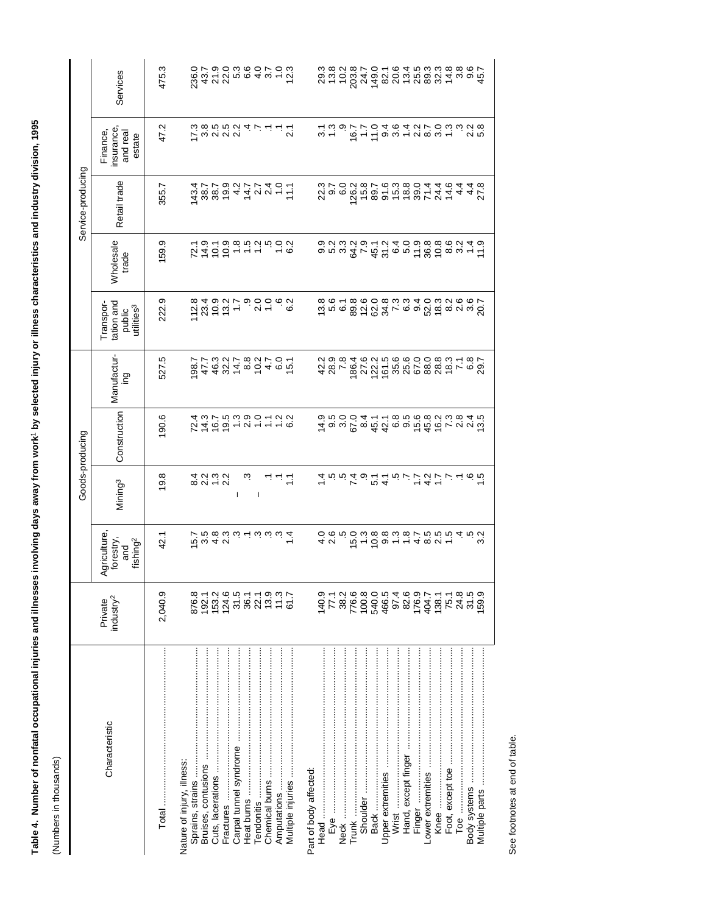|                   | Services                                                    | 475.3   | 236.0                                                                  | 422 5 6 6 4 9 4 5 6 7<br>2 4 7 6 6 4 9 4 7 6 7 |                        |                          |                |             |                   |                        |                   | 29.3<br>20.5<br>20.5  |    |                 |          |                                                                                                                                                                                                                                                                                                                                                                                                                                                                                                                |       |                     |                   |       |                  |              |              |                |
|-------------------|-------------------------------------------------------------|---------|------------------------------------------------------------------------|------------------------------------------------|------------------------|--------------------------|----------------|-------------|-------------------|------------------------|-------------------|-----------------------|----|-----------------|----------|----------------------------------------------------------------------------------------------------------------------------------------------------------------------------------------------------------------------------------------------------------------------------------------------------------------------------------------------------------------------------------------------------------------------------------------------------------------------------------------------------------------|-------|---------------------|-------------------|-------|------------------|--------------|--------------|----------------|
|                   | insurance,<br>Finance,<br>and real<br>estate                | 47.2    | イsaras<br>ことさいストーーに                                                    |                                                |                        |                          |                |             |                   |                        |                   |                       |    |                 |          | s - G - L o u - u o u - g u n<br>L u o r r o 4 o 4 d r o u u d o                                                                                                                                                                                                                                                                                                                                                                                                                                               |       |                     |                   |       |                  |              |              |                |
| Service-producing | Retail trade                                                | 355.7   | 4<br>3 8 8 5 4 4 0 0 - 2<br>4 7 7 9 0 1 7 7 4 0 -                      |                                                |                        |                          |                |             |                   |                        |                   | 23<br>23<br>25<br>26  |    |                 |          | v<br>6 m 8 m 6 m 6 8 k 4 4 4 4 Y<br>6 m 6 m 6 6 6 6 7 4 6 4 4 6 7                                                                                                                                                                                                                                                                                                                                                                                                                                              |       |                     |                   |       |                  |              |              |                |
|                   | <b>Wholesale</b><br>trade                                   | 159.9   | フォリリート - 0.01 とりの code - 1.01 とりの code - 1.01 とり                       |                                                |                        |                          |                |             |                   |                        |                   | 0 N M<br>0 W M        |    |                 |          | $\begin{array}{l} 2\hskip -1pt 9\hskip 2pt \rightarrow \hskip -1pt 2\hskip 2pt \rightarrow \hskip -1pt 2\hskip 2pt \rightarrow \hskip -1pt 2\hskip 2pt \rightarrow \hskip -1pt 2\hskip 2pt \rightarrow \hskip -1pt 2\hskip 2pt \rightarrow \hskip -1pt 2\hskip 2pt \rightarrow \hskip -1pt 2\hskip 2pt \rightarrow \hskip -1pt 2\hskip 2pt \rightarrow \hskip -1pt 2\hskip 2pt \rightarrow \hskip -1pt 2\hskip 2pt \rightarrow \hskip -1pt 2\hskip 2pt \rightarrow \hskip -1pt 2\hskip 2pt \rightarrow \hskip$ |       |                     |                   |       |                  |              |              |                |
|                   | tation and<br>Transpor-<br>utilities <sup>3</sup><br>public | 222.9   | 112.8                                                                  | S<br>1001 - 9006<br>4001 - 9006                |                        |                          |                | 62          |                   |                        |                   | بان ہو<br>ماریخ       |    |                 |          |                                                                                                                                                                                                                                                                                                                                                                                                                                                                                                                |       |                     |                   |       |                  |              |              |                |
|                   | Manufactur-<br>Dαi                                          | 527.5   | e<br>874841004661<br>27537587505                                       |                                                |                        |                          |                |             |                   |                        |                   |                       |    |                 |          | 802258888676888746030888876898                                                                                                                                                                                                                                                                                                                                                                                                                                                                                 |       |                     |                   |       |                  |              |              |                |
| Goods-producing   | Construction                                                | 190.6   | フォイクトクトーー6フィング                                                         |                                                |                        |                          |                |             |                   |                        |                   |                       |    |                 |          |                                                                                                                                                                                                                                                                                                                                                                                                                                                                                                                |       |                     |                   |       |                  |              |              |                |
|                   | Mining <sup>3</sup>                                         | 19.8    |                                                                        | 4 2 3 2<br>8 2 4 2                             | T                      | $\overline{\phantom{a}}$ |                | ニニコ         |                   |                        |                   |                       |    |                 |          | は こ こ ユ コ コ コ コ コ コ コ コ コ コ コ                                                                                                                                                                                                                                                                                                                                                                                                                                                                                  |       |                     |                   |       |                  |              |              |                |
|                   | Agriculture,<br>forestry,<br>fishing <sup>2</sup><br>and    | 42.1    | fo a 4 c/<br>fo a d a i d i d a d 4<br>f a b a b d i d a d a f         |                                                |                        |                          |                |             |                   |                        | 0 0<br>4 0<br>4 0 |                       | ယ္ | $15.0$<br>$1.3$ |          | 69999979997                                                                                                                                                                                                                                                                                                                                                                                                                                                                                                    |       |                     |                   |       |                  |              | 5<br>3.3     |                |
|                   | industry <sup>2</sup><br>Private                            | 2,040.9 | 876.3<br>62.1<br>870.45.5<br>88.1                                      |                                                |                        |                          |                |             |                   |                        |                   | 140.9<br>77.1<br>38.2 |    |                 |          | 7760000100017<br>000000100017<br>0000010017<br>0000017                                                                                                                                                                                                                                                                                                                                                                                                                                                         |       |                     |                   | 138.1 | 75.1             | 24.8         | 31.5         | <b>59.9</b>    |
|                   | Characteristic                                              |         | Nature of injury, illness:<br>Bruises, contusions<br>Sprains, strains. | Cuts, lacerations<br>Fractures                 | Carpal tunnel syndrome | Heat burns               | Chemical burns | Amputations | Multiple injuries | Part of body affected: |                   |                       |    | Trunk           | Shoulder | Upper extremities<br>Back                                                                                                                                                                                                                                                                                                                                                                                                                                                                                      | Wrist | Hand, except finger | Lower extremities |       | Foot, except toe | Toe $\ldots$ | Body systems | Multiple parts |

See footnotes at end of table. See footnotes at end of table.

Table 4. Number of nonfatal occupational injuries and illnesses involving days away from work' by selected injury or illness characteristics and industry division, 1995 **Table 4. Number of nonfatal occupational injuries and illnesses involving days away from work**1 **by selected injury or illness characteristics and industry division, 1995**

(Numbers in thousands) (Numbers in thousands)

J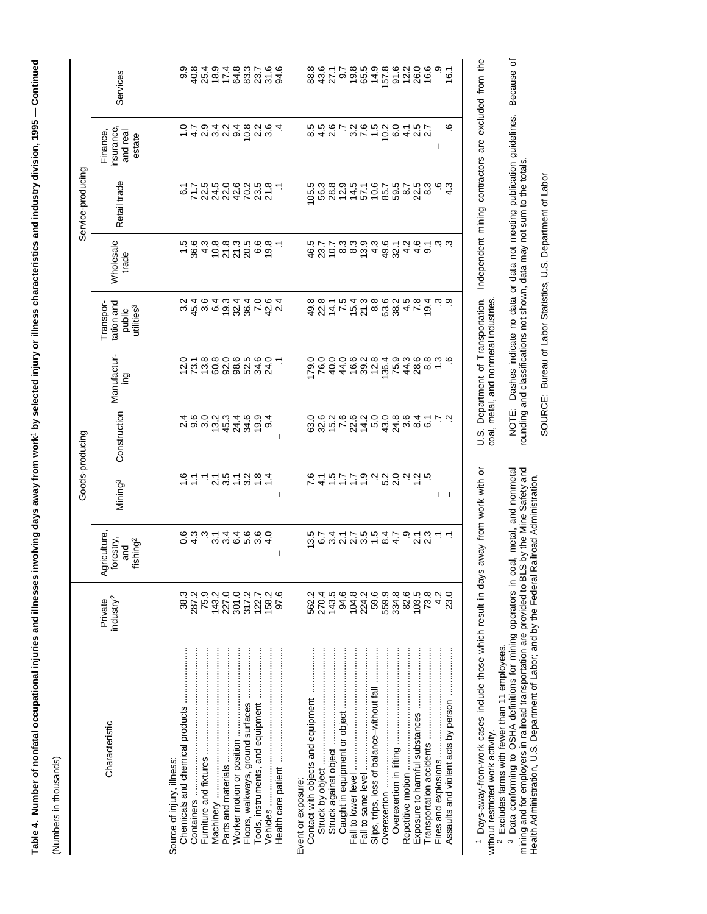| $\mathcal{L}^{\text{max}}_{\text{max}}$ and $\mathcal{L}^{\text{max}}_{\text{max}}$ and $\mathcal{L}^{\text{max}}_{\text{max}}$ |
|---------------------------------------------------------------------------------------------------------------------------------|
|                                                                                                                                 |
| l<br>l                                                                                                                          |
|                                                                                                                                 |
|                                                                                                                                 |
|                                                                                                                                 |
|                                                                                                                                 |
|                                                                                                                                 |
| I                                                                                                                               |
|                                                                                                                                 |
|                                                                                                                                 |
|                                                                                                                                 |
|                                                                                                                                 |
|                                                                                                                                 |
|                                                                                                                                 |
|                                                                                                                                 |
|                                                                                                                                 |
|                                                                                                                                 |
|                                                                                                                                 |
|                                                                                                                                 |
|                                                                                                                                 |
|                                                                                                                                 |
|                                                                                                                                 |
|                                                                                                                                 |
|                                                                                                                                 |
|                                                                                                                                 |
|                                                                                                                                 |
|                                                                                                                                 |
|                                                                                                                                 |
|                                                                                                                                 |
|                                                                                                                                 |
|                                                                                                                                 |
|                                                                                                                                 |
|                                                                                                                                 |
|                                                                                                                                 |
|                                                                                                                                 |
|                                                                                                                                 |
|                                                                                                                                 |
|                                                                                                                                 |
|                                                                                                                                 |
| 5                                                                                                                               |
|                                                                                                                                 |
|                                                                                                                                 |
| ≌                                                                                                                               |
|                                                                                                                                 |
| Í                                                                                                                               |
|                                                                                                                                 |
|                                                                                                                                 |
|                                                                                                                                 |
|                                                                                                                                 |
|                                                                                                                                 |
|                                                                                                                                 |
|                                                                                                                                 |
|                                                                                                                                 |
|                                                                                                                                 |
|                                                                                                                                 |
|                                                                                                                                 |
|                                                                                                                                 |
|                                                                                                                                 |
|                                                                                                                                 |
|                                                                                                                                 |
|                                                                                                                                 |
|                                                                                                                                 |
|                                                                                                                                 |
|                                                                                                                                 |
| ֖֖֖֖֖֖֖֖֖֖֖֖֚֚֚֚֚֚֚֚֚֚֚֚֚֚֚֚֚֚֚֚֚֚֚֬֝֓֞֓֡֬֓֡֬֓֞֓֡֬֓֞֓֡֬֓֬֓֞֡֬֓֞֬֝֓֞֬֝֓֞֬֝֓֞֬֝֓֬֝֬                                               |
|                                                                                                                                 |
|                                                                                                                                 |
|                                                                                                                                 |
|                                                                                                                                 |
| l                                                                                                                               |

(Numbers in thousands) (Numbers in thousands)

|                                            |                                  |                                                          | Goods-producing     |                                                                                                           |                                                                                                                                    |                                                                                                                                                                                                                                                                                                 |                                              | Service-producing     |                                             |                                  |
|--------------------------------------------|----------------------------------|----------------------------------------------------------|---------------------|-----------------------------------------------------------------------------------------------------------|------------------------------------------------------------------------------------------------------------------------------------|-------------------------------------------------------------------------------------------------------------------------------------------------------------------------------------------------------------------------------------------------------------------------------------------------|----------------------------------------------|-----------------------|---------------------------------------------|----------------------------------|
| Characteristic                             | industry <sup>2</sup><br>Private | Agriculture,<br>forestry.<br>fishing <sup>2</sup><br>and | Mining <sup>3</sup> | Construction                                                                                              | Manufactur-<br>pui                                                                                                                 | tation and<br>Transpor-<br>utilities <sup>3</sup><br>public                                                                                                                                                                                                                                     | Wholesale<br>trade                           | Retail trade          | insurance<br>Finance,<br>and real<br>estate | Services                         |
|                                            |                                  |                                                          |                     |                                                                                                           |                                                                                                                                    |                                                                                                                                                                                                                                                                                                 |                                              |                       |                                             |                                  |
| Source of injury, illness:                 |                                  |                                                          |                     |                                                                                                           |                                                                                                                                    |                                                                                                                                                                                                                                                                                                 |                                              |                       |                                             |                                  |
|                                            | 38.3                             |                                                          |                     | 200<br>200                                                                                                |                                                                                                                                    | $3.4$<br>45.4                                                                                                                                                                                                                                                                                   |                                              |                       |                                             |                                  |
| Containers                                 | 287.2                            |                                                          |                     |                                                                                                           |                                                                                                                                    |                                                                                                                                                                                                                                                                                                 |                                              |                       |                                             |                                  |
|                                            | 75.9<br>143.2                    | o 4 wwwww4<br>coww-44000                                 |                     |                                                                                                           |                                                                                                                                    |                                                                                                                                                                                                                                                                                                 |                                              |                       |                                             |                                  |
| Vlachinery ……………………………………                  |                                  |                                                          |                     | 13.2                                                                                                      |                                                                                                                                    |                                                                                                                                                                                                                                                                                                 |                                              |                       |                                             |                                  |
|                                            | 227.0                            |                                                          |                     | 45.3                                                                                                      |                                                                                                                                    |                                                                                                                                                                                                                                                                                                 |                                              |                       |                                             |                                  |
|                                            |                                  |                                                          |                     |                                                                                                           |                                                                                                                                    |                                                                                                                                                                                                                                                                                                 |                                              |                       |                                             |                                  |
| Floors, walkways, ground surfaces          |                                  |                                                          |                     |                                                                                                           |                                                                                                                                    |                                                                                                                                                                                                                                                                                                 |                                              |                       |                                             |                                  |
|                                            |                                  |                                                          |                     | 2<br>4 4 6 9 4<br>4 6 9 4                                                                                 |                                                                                                                                    |                                                                                                                                                                                                                                                                                                 |                                              |                       |                                             |                                  |
| Vehicles ……………………………………………………              | 301217<br>301218<br>1981         |                                                          |                     |                                                                                                           | 0.1.8.8.8.8.3.4.2.1.9.9.9.9.9.9.4.2.1.9.9.9.9.1.9.9.9.1.9.9.9.9.1.9.9.9.1.9.9.9.9.1.9.9.9.9.9.9.9.9.<br>0.1.9.9.9.9.9.9.9.9.9.9.1. | $\begin{array}{c} 0.4 & 0.6 & 0.7 \\ 0.4 & 0.4 & 0.6 \\ 0.4 & 0.4 & 0.6 \\ 0.4 & 0.4 & 0.6 \\ 0.4 & 0.4 & 0.6 \\ 0.4 & 0.4 & 0.6 \\ 0.4 & 0.4 & 0.6 \\ 0.4 & 0.4 & 0.6 \\ 0.4 & 0.4 & 0.6 \\ 0.4 & 0.4 & 0.6 \\ 0.4 & 0.4 & 0.6 \\ 0.4 & 0.4 & 0.6 \\ 0.4 & 0.4 & 0.6 \\ 0.4 & 0.4 & 0.6 \\ 0.$ | 5 8 4 5 2 2 2 8 6 6 7<br>- 8 4 5 2 2 9 6 6 7 | いてらいのでる。<br>「カンスカセカジン | r 4 u w u o o u w<br>o r o 4 u 4 o u o      | 98494837669000000000000000000000 |
|                                            | 97.6                             | ı                                                        | I                   |                                                                                                           |                                                                                                                                    |                                                                                                                                                                                                                                                                                                 |                                              |                       |                                             |                                  |
|                                            |                                  |                                                          |                     |                                                                                                           |                                                                                                                                    |                                                                                                                                                                                                                                                                                                 |                                              |                       |                                             |                                  |
| Event or exposure:                         |                                  |                                                          |                     |                                                                                                           |                                                                                                                                    |                                                                                                                                                                                                                                                                                                 |                                              |                       |                                             |                                  |
| Contact with objects and equipment         | 562.2                            |                                                          |                     |                                                                                                           |                                                                                                                                    |                                                                                                                                                                                                                                                                                                 |                                              | 105.5                 |                                             |                                  |
|                                            | 270.4<br>143.5                   |                                                          |                     |                                                                                                           |                                                                                                                                    |                                                                                                                                                                                                                                                                                                 |                                              |                       |                                             |                                  |
|                                            |                                  |                                                          |                     |                                                                                                           | iz 24<br>00000<br>0000                                                                                                             |                                                                                                                                                                                                                                                                                                 |                                              |                       | 8<br>1919<br>1919                           |                                  |
|                                            | 94.6                             |                                                          |                     |                                                                                                           |                                                                                                                                    |                                                                                                                                                                                                                                                                                                 |                                              |                       |                                             |                                  |
|                                            |                                  |                                                          |                     |                                                                                                           |                                                                                                                                    |                                                                                                                                                                                                                                                                                                 |                                              |                       |                                             |                                  |
|                                            |                                  |                                                          |                     |                                                                                                           |                                                                                                                                    |                                                                                                                                                                                                                                                                                                 |                                              |                       |                                             |                                  |
| Slips, trips, loss of balance-without fall |                                  |                                                          |                     |                                                                                                           |                                                                                                                                    |                                                                                                                                                                                                                                                                                                 |                                              |                       |                                             |                                  |
|                                            |                                  |                                                          |                     |                                                                                                           |                                                                                                                                    |                                                                                                                                                                                                                                                                                                 |                                              |                       |                                             |                                  |
|                                            |                                  |                                                          |                     |                                                                                                           |                                                                                                                                    |                                                                                                                                                                                                                                                                                                 |                                              |                       |                                             |                                  |
|                                            |                                  |                                                          |                     |                                                                                                           |                                                                                                                                    |                                                                                                                                                                                                                                                                                                 |                                              |                       |                                             |                                  |
|                                            |                                  |                                                          |                     |                                                                                                           |                                                                                                                                    |                                                                                                                                                                                                                                                                                                 |                                              |                       |                                             |                                  |
|                                            |                                  |                                                          |                     |                                                                                                           |                                                                                                                                    |                                                                                                                                                                                                                                                                                                 |                                              | 5<br>6824450888828    |                                             |                                  |
|                                            | 4.2                              | 57417554791311 2011 20111 201 201 2 2                    |                     | c c c c c c c c c c c c c c c c c c<br>c c c c c c c c c c c c c c c c<br>c c c c c c c c c c c c c c c c | $687687888876$ 68265248867                                                                                                         | 4 2 4 7 6 4 9 6 9 4 7 6<br>* 2 4 7 6 7 8 6 9 4 7 6<br>* 2 4 7 8 6 9 4 7 6                                                                                                                                                                                                                       |                                              |                       | ı                                           |                                  |
|                                            | 23.0                             |                                                          | $\mathbf{I}$        |                                                                                                           |                                                                                                                                    |                                                                                                                                                                                                                                                                                                 |                                              | نى                    | ဖ                                           | 16.1                             |
|                                            |                                  |                                                          |                     |                                                                                                           |                                                                                                                                    |                                                                                                                                                                                                                                                                                                 |                                              |                       |                                             |                                  |

Days-away-from-work cases include those which result in days away from work with or

1 Days-away-from-work cases include those which result in days away from work with or<br>without restricted work activity.<br><sup>2</sup> Excludes farms with fewer than 11 employees.<br><sup>3</sup> Data conforming to OSHA definitions for mining o without restricted work activity.<br><sup>2</sup> Excludes farms with fewer than 11 employees.<br><sup>3</sup> Data conforming to OSHA definitions for mining operators in coal, metal, and nonmetal mining and for employers in railroad transportation are provided to BLS by the Mine Safety and Health Administration, U.S. Department of Labor; and by the Federal Railroad Administration,

U.S. Department of Transportation. Independent mining contractors are excluded from the coal, metal, and nonmetal industries. U.S. Department of Transportation. Independent mining contractors are excluded from the NOTE: Dashes indicate no data or data not meeting publication guidelines. Because of coal, metal, and nonmetal industries.

NOTE: Dashes indicate no data or data not meeting publication guidelines. Because of<br>rounding and classifications not shown, data may not sum to the totals. rounding and classifications not shown, data may not sum to the totals.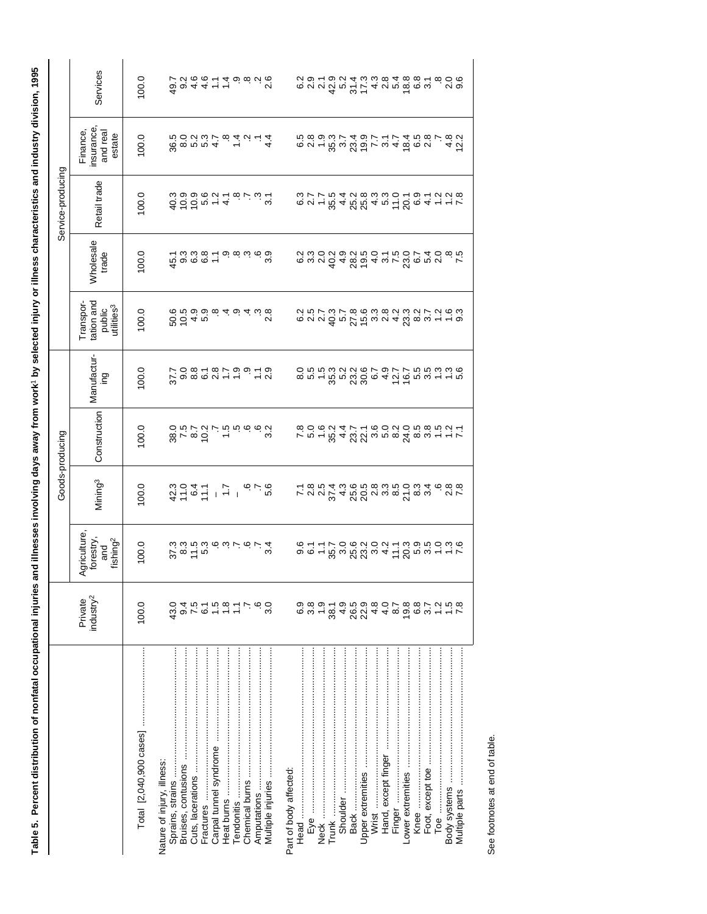| ׇ֚֚֬                                                                                  |
|---------------------------------------------------------------------------------------|
|                                                                                       |
|                                                                                       |
| $\ddot{\phantom{a}}$                                                                  |
|                                                                                       |
|                                                                                       |
| ١                                                                                     |
|                                                                                       |
|                                                                                       |
|                                                                                       |
| i                                                                                     |
|                                                                                       |
| ֦֧֖֖֖֖֖֖֖֖֖ׅ֖ׅ֪ׅ֪֪֪ׅ֧֪֪֪֧֚֚֚֚֚֚֚֚֚֚֚֚֚֚֚֚֚֚֚֚֝֬֓֬֓֞֓֓֬֓֬֓֬֓֬֓֬֓֬֓֬֓֬֓֬֓֬֓֬֝֓֬֝֬֓֬֬֓֝֬ |
| ֖֖֖֖֖֧ׅ֪ׅ֖֧֧֪ׅ֪֪֪֪֪֪֪֪֧֪ׅ֧֪ׅ֧֚֚֚֚֚֚֚֚֚֚֚֚֚֚֚֚֚֚֚֚֚֚֚֚֚֚֚֚֬֝֝֝֓֞֝֬֓֬                   |
|                                                                                       |
|                                                                                       |
|                                                                                       |
| ì<br>í                                                                                |
| 1                                                                                     |
|                                                                                       |
|                                                                                       |
| .<br>.<br>.                                                                           |
|                                                                                       |
| ֠                                                                                     |
| I<br>١                                                                                |
|                                                                                       |
|                                                                                       |
|                                                                                       |
|                                                                                       |
|                                                                                       |
| i                                                                                     |
| 5<br>5<br>5<br>ã                                                                      |
|                                                                                       |
|                                                                                       |
|                                                                                       |
|                                                                                       |
|                                                                                       |
|                                                                                       |
|                                                                                       |
|                                                                                       |
|                                                                                       |
|                                                                                       |
|                                                                                       |
|                                                                                       |
|                                                                                       |
| ֚֚֡                                                                                   |
|                                                                                       |
|                                                                                       |
| I                                                                                     |
|                                                                                       |
|                                                                                       |
| I                                                                                     |

Ι,

|                   | Services                                                    | 100.0 | てくるのトムの825<br>ООААトー<br>ООАА                                                               |                                     |            |                                                                                                               |     |                                        |  |                                                                                                                                                                                                                                                                                                                                                                                                                                                            |          |  |                     |        |                   |      |                  | ၀ (၀<br>လ (၁                                                                      |
|-------------------|-------------------------------------------------------------|-------|--------------------------------------------------------------------------------------------|-------------------------------------|------------|---------------------------------------------------------------------------------------------------------------|-----|----------------------------------------|--|------------------------------------------------------------------------------------------------------------------------------------------------------------------------------------------------------------------------------------------------------------------------------------------------------------------------------------------------------------------------------------------------------------------------------------------------------------|----------|--|---------------------|--------|-------------------|------|------------------|-----------------------------------------------------------------------------------|
|                   | insurance<br>Finance,<br>and real<br>estate                 | 100.0 | conna<br>conna -<br>connicationa                                                           |                                     |            |                                                                                                               |     |                                        |  | $\begin{array}{l} \mathfrak{G}\,\mathfrak{G}\,\mathfrak{G}\,\mathfrak{G}\,\mathfrak{G}\,\mathfrak{G}\,\mathfrak{G}\,\mathfrak{G}\,\mathfrak{G}\,\mathfrak{G}\,\mathfrak{G}\,\mathfrak{G}\,\mathfrak{G}\,\mathfrak{G}\,\mathfrak{G}\,\\ \mathfrak{G}\,\mathfrak{G}\,\mathfrak{G}\,\mathfrak{G}\,\mathfrak{G}\,\mathfrak{G}\,\mathfrak{G}\,\mathfrak{G}\,\mathfrak{G}\,\mathfrak{G}\,\mathfrak{G}\,\mathfrak{G}\,\mathfrak{G}\,\mathfrak{G}\,\\ \mathfrak{G$ |          |  |                     |        |                   |      |                  | $4.8$<br>$7.2$                                                                    |
| Service-producing | Retail trade                                                | 100.0 | d 6 6 n 4 4<br>d 6 6 n 4 4 0 6 10 4<br>d 9 0 6 1 4 0 6 10 4                                |                                     |            |                                                                                                               |     |                                        |  |                                                                                                                                                                                                                                                                                                                                                                                                                                                            |          |  |                     |        |                   |      |                  |                                                                                   |
|                   | <b>Wholesale</b><br>trade                                   | 100.0 | ႕ တပ္လက္ ေပးထဲ ထဲ ထဲ<br>— ယံ ယံ ထံ — ထဲ ထံ ယံ ထဲ ယံ                                        |                                     |            |                                                                                                               |     |                                        |  |                                                                                                                                                                                                                                                                                                                                                                                                                                                            |          |  |                     |        |                   |      |                  |                                                                                   |
|                   | tation and<br>Transpor-<br>public<br>utilities <sup>3</sup> | 100.0 | ro<br>Godood do du oo<br>Godood do du oo                                                   |                                     |            |                                                                                                               |     |                                        |  |                                                                                                                                                                                                                                                                                                                                                                                                                                                            |          |  |                     |        |                   |      |                  | る220年では。24%881198210月の10月の11000000000000000000000                                 |
|                   | Manufactur-<br>ing                                          | 100.0 |                                                                                            |                                     |            |                                                                                                               |     |                                        |  |                                                                                                                                                                                                                                                                                                                                                                                                                                                            |          |  |                     |        |                   |      |                  |                                                                                   |
| Goods-producing   | Construction                                                | 100.0 |                                                                                            |                                     |            |                                                                                                               |     |                                        |  |                                                                                                                                                                                                                                                                                                                                                                                                                                                            |          |  |                     |        |                   |      |                  | て 5 1 5 4 2 2 5 5 8 4 8 5 1 1 7 8 0 5 5 1 5 1 5 0 2 0 5 8 5 1 1 7 8 0 5 5 5 1 1 7 |
|                   | Mining <sup>3</sup>                                         | 100.0 | $37 - 6$<br>$27 - 6$<br>$37 - 6$<br>$47 - 6$<br>$57 - 6$<br>$67 - 6$                       |                                     |            |                                                                                                               |     |                                        |  |                                                                                                                                                                                                                                                                                                                                                                                                                                                            |          |  |                     |        |                   |      |                  |                                                                                   |
|                   | Agriculture,<br>forestry,<br>fishing <sup>2</sup><br>and    | 100.0 |                                                                                            |                                     |            |                                                                                                               |     |                                        |  |                                                                                                                                                                                                                                                                                                                                                                                                                                                            |          |  |                     |        |                   |      |                  |                                                                                   |
|                   | Private<br>industry <sup>2</sup>                            | 100.0 | 43.0                                                                                       |                                     |            | d r c r c r c d r c d d r c d r c d r c d d r c d d r c d d r c d d c r c d d r c d d c r c d d r c d d r c d | 3.0 |                                        |  |                                                                                                                                                                                                                                                                                                                                                                                                                                                            |          |  |                     |        |                   |      |                  |                                                                                   |
|                   |                                                             |       | Sprains, strains<br>Nature of injury, illness:<br>Bruises, contusions<br>Cuts, lacerations | Carpal tunnel syndrome<br>Fractures | Heat burns |                                                                                                               |     | Part of body affected:<br><b>Head </b> |  | Trunk                                                                                                                                                                                                                                                                                                                                                                                                                                                      | Shoulder |  | Hand, except finger | Finger | Lower extremities | Knee | Foot, except toe | Multiple parts ……………………………………………<br>Body systems                                  |

See footnotes at end of table. See footnotes at end of table.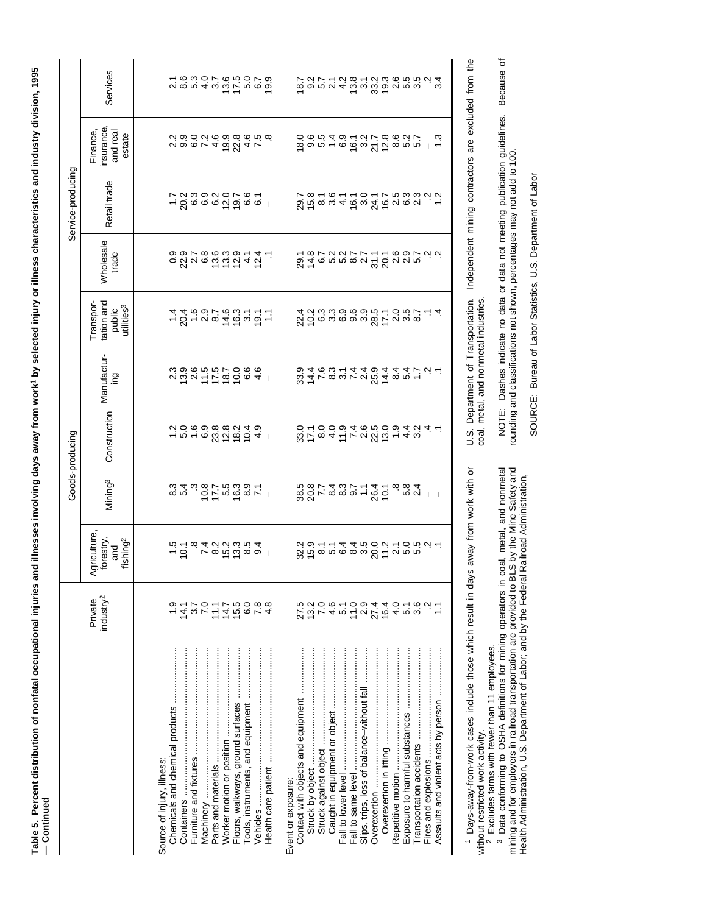Table 5. Percent distribution of nonfatal occupational injuries and illnesses involving days away from work' by selected injury or illness characteristics and industry division, 1995 **Table 5. Percent distribution of nonfatal occupational injuries and illnesses involving days away from work**1 **by selected injury or illness characteristics and industry division, 1995** - Continued **— Continued**

|                                |                                                                                                                                                                                                                                                                                                                    |                                                                                                                 |                          | Goods-producing |                    |                                                             |                                                                                          | Service-producing                                  |                                                                                                                                                                                                                                                                                                                                                                                                                                                                                                                                                            |                                       |
|--------------------------------|--------------------------------------------------------------------------------------------------------------------------------------------------------------------------------------------------------------------------------------------------------------------------------------------------------------------|-----------------------------------------------------------------------------------------------------------------|--------------------------|-----------------|--------------------|-------------------------------------------------------------|------------------------------------------------------------------------------------------|----------------------------------------------------|------------------------------------------------------------------------------------------------------------------------------------------------------------------------------------------------------------------------------------------------------------------------------------------------------------------------------------------------------------------------------------------------------------------------------------------------------------------------------------------------------------------------------------------------------------|---------------------------------------|
|                                | industry <sup>2</sup><br>Private                                                                                                                                                                                                                                                                                   | griculture,<br>forestry,<br>and<br>fishing <sup>2</sup><br>⋖                                                    | Mining <sup>3</sup>      | Construction    | Manufactur-<br>gui | tation and<br>Transpor-<br>utilities <sup>3</sup><br>public | Wholesale<br>trade                                                                       | Retail trade                                       | insurance<br>Finance,<br>and real<br>estate                                                                                                                                                                                                                                                                                                                                                                                                                                                                                                                | Services                              |
|                                |                                                                                                                                                                                                                                                                                                                    |                                                                                                                 |                          |                 |                    |                                                             |                                                                                          |                                                    |                                                                                                                                                                                                                                                                                                                                                                                                                                                                                                                                                            |                                       |
| Source of injury, illness      |                                                                                                                                                                                                                                                                                                                    |                                                                                                                 |                          |                 |                    |                                                             |                                                                                          |                                                    |                                                                                                                                                                                                                                                                                                                                                                                                                                                                                                                                                            |                                       |
|                                |                                                                                                                                                                                                                                                                                                                    |                                                                                                                 | 8<br>10<br>10<br>10      |                 |                    |                                                             |                                                                                          |                                                    |                                                                                                                                                                                                                                                                                                                                                                                                                                                                                                                                                            |                                       |
|                                |                                                                                                                                                                                                                                                                                                                    |                                                                                                                 |                          |                 |                    |                                                             |                                                                                          |                                                    |                                                                                                                                                                                                                                                                                                                                                                                                                                                                                                                                                            |                                       |
|                                | $4.7$<br>$7.0$<br>$7.0$                                                                                                                                                                                                                                                                                            |                                                                                                                 |                          |                 |                    |                                                             |                                                                                          |                                                    |                                                                                                                                                                                                                                                                                                                                                                                                                                                                                                                                                            |                                       |
|                                |                                                                                                                                                                                                                                                                                                                    |                                                                                                                 |                          |                 |                    |                                                             |                                                                                          |                                                    |                                                                                                                                                                                                                                                                                                                                                                                                                                                                                                                                                            |                                       |
|                                | 11.1                                                                                                                                                                                                                                                                                                               |                                                                                                                 |                          |                 |                    |                                                             |                                                                                          |                                                    |                                                                                                                                                                                                                                                                                                                                                                                                                                                                                                                                                            |                                       |
|                                |                                                                                                                                                                                                                                                                                                                    |                                                                                                                 |                          |                 |                    |                                                             |                                                                                          |                                                    |                                                                                                                                                                                                                                                                                                                                                                                                                                                                                                                                                            |                                       |
|                                |                                                                                                                                                                                                                                                                                                                    |                                                                                                                 |                          |                 |                    |                                                             |                                                                                          |                                                    |                                                                                                                                                                                                                                                                                                                                                                                                                                                                                                                                                            |                                       |
|                                |                                                                                                                                                                                                                                                                                                                    |                                                                                                                 |                          |                 |                    |                                                             |                                                                                          |                                                    |                                                                                                                                                                                                                                                                                                                                                                                                                                                                                                                                                            |                                       |
|                                | $7.5000$<br>$7.5000$                                                                                                                                                                                                                                                                                               | 101 7 8 9 9 9 9 9 1<br>101 9 9 9 9 9 9 9 9 1                                                                    |                          |                 |                    |                                                             |                                                                                          | $-260000000000000$                                 | voor4 o Z4 r<br>voor4 o Z4 r                                                                                                                                                                                                                                                                                                                                                                                                                                                                                                                               |                                       |
|                                |                                                                                                                                                                                                                                                                                                                    |                                                                                                                 |                          |                 |                    |                                                             | $\circ$ $\alpha$ $\alpha$ $\alpha$ $\alpha$ $\alpha$ $\alpha$ $\gamma$ $\alpha$ $\gamma$ |                                                    |                                                                                                                                                                                                                                                                                                                                                                                                                                                                                                                                                            | 2880785079188010000000000000000000000 |
|                                |                                                                                                                                                                                                                                                                                                                    |                                                                                                                 |                          |                 |                    |                                                             |                                                                                          |                                                    |                                                                                                                                                                                                                                                                                                                                                                                                                                                                                                                                                            |                                       |
| Event or exposure:             |                                                                                                                                                                                                                                                                                                                    |                                                                                                                 |                          |                 |                    |                                                             |                                                                                          |                                                    |                                                                                                                                                                                                                                                                                                                                                                                                                                                                                                                                                            |                                       |
|                                |                                                                                                                                                                                                                                                                                                                    |                                                                                                                 |                          |                 |                    |                                                             |                                                                                          |                                                    |                                                                                                                                                                                                                                                                                                                                                                                                                                                                                                                                                            |                                       |
|                                | $13.2$<br>7.0                                                                                                                                                                                                                                                                                                      | $\alpha$ is a n in a subset of $\alpha$ is a subset of $\alpha$ is a subset of $\alpha$ is a subset of $\alpha$ | 8871889118718888         |                 |                    |                                                             |                                                                                          | <i>o</i><br>Se courcorrecion i<br>Ve correction di | $\begin{array}{lll} \tilde{\varphi} \circ \tilde{\varphi} \circ \tilde{\psi} \circ \tilde{\varphi} \circ \tilde{\varphi} \circ \tilde{\varphi} \circ \tilde{\varphi} \circ \tilde{\varphi} \circ \tilde{\varphi} \circ \tilde{\varphi} \circ \tilde{\varphi} \circ \tilde{\varphi} \circ \tilde{\varphi} \circ \tilde{\varphi} \circ \tilde{\varphi} \circ \tilde{\varphi} \circ \tilde{\varphi} \circ \tilde{\varphi} \circ \tilde{\varphi} \circ \tilde{\varphi} \circ \tilde{\varphi} \circ \tilde{\varphi} \circ \tilde{\varphi} \circ \tilde{\varphi$ |                                       |
|                                | $\begin{array}{l} 4 \, \, 0 \, \, 2 \, \, 0 \, \, 4 \, \, 0 \, \, 2 \, \, 4 \, \, 0 \, \, 0 \, \\ 4 \, \, 0 \, \, 2 \, \, 0 \, \, 4 \, \, 4 \, \, 0 \, \, 4 \, \, 0 \, \, 0 \, \\ 4 \, \, 0 \, \, 2 \, \, 0 \, \, 0 \, \, 4 \, \, 4 \, \, 0 \, \, 4 \, \, 0 \, \, 0 \, \\ 6 \, \, 0 \, \, 0 \, \, 4 \, \, 4 \, \,$ |                                                                                                                 |                          |                 |                    |                                                             |                                                                                          |                                                    |                                                                                                                                                                                                                                                                                                                                                                                                                                                                                                                                                            |                                       |
|                                |                                                                                                                                                                                                                                                                                                                    |                                                                                                                 |                          |                 |                    |                                                             |                                                                                          |                                                    |                                                                                                                                                                                                                                                                                                                                                                                                                                                                                                                                                            |                                       |
|                                |                                                                                                                                                                                                                                                                                                                    |                                                                                                                 |                          |                 |                    |                                                             |                                                                                          |                                                    |                                                                                                                                                                                                                                                                                                                                                                                                                                                                                                                                                            |                                       |
|                                |                                                                                                                                                                                                                                                                                                                    |                                                                                                                 |                          |                 |                    |                                                             |                                                                                          |                                                    |                                                                                                                                                                                                                                                                                                                                                                                                                                                                                                                                                            |                                       |
|                                |                                                                                                                                                                                                                                                                                                                    |                                                                                                                 |                          |                 |                    |                                                             |                                                                                          |                                                    |                                                                                                                                                                                                                                                                                                                                                                                                                                                                                                                                                            |                                       |
|                                |                                                                                                                                                                                                                                                                                                                    |                                                                                                                 |                          |                 |                    |                                                             |                                                                                          |                                                    |                                                                                                                                                                                                                                                                                                                                                                                                                                                                                                                                                            |                                       |
|                                |                                                                                                                                                                                                                                                                                                                    |                                                                                                                 |                          |                 |                    |                                                             |                                                                                          |                                                    |                                                                                                                                                                                                                                                                                                                                                                                                                                                                                                                                                            |                                       |
| Exposure to harmful substances |                                                                                                                                                                                                                                                                                                                    |                                                                                                                 |                          |                 |                    |                                                             |                                                                                          |                                                    |                                                                                                                                                                                                                                                                                                                                                                                                                                                                                                                                                            |                                       |
|                                |                                                                                                                                                                                                                                                                                                                    |                                                                                                                 | ∞ ∞ ⊄<br>∞ ∞ ⊄           |                 |                    |                                                             |                                                                                          |                                                    |                                                                                                                                                                                                                                                                                                                                                                                                                                                                                                                                                            |                                       |
|                                |                                                                                                                                                                                                                                                                                                                    |                                                                                                                 |                          |                 |                    |                                                             |                                                                                          |                                                    |                                                                                                                                                                                                                                                                                                                                                                                                                                                                                                                                                            |                                       |
|                                |                                                                                                                                                                                                                                                                                                                    |                                                                                                                 | $\overline{\phantom{0}}$ |                 |                    |                                                             |                                                                                          |                                                    |                                                                                                                                                                                                                                                                                                                                                                                                                                                                                                                                                            |                                       |
|                                |                                                                                                                                                                                                                                                                                                                    |                                                                                                                 |                          |                 |                    |                                                             |                                                                                          |                                                    |                                                                                                                                                                                                                                                                                                                                                                                                                                                                                                                                                            |                                       |

 Days-away-from-work cases include those which result in days away from work with or without restricted work activity.<br><sup>2</sup> Excludes farms with fewer than 11 employees.<br><sup>3</sup> Data conforming to OSHA definitions for mining operators in coal, metal, and nonmetal

1 Days-away-from-work cases include those which result in days away from work with or<br>without restricted work activity.<br><sup>2</sup> Excludes farms with fewer than 11 employees.<br><sup>3</sup> Data conforming to OSHA definitions for mining o mining and for employers in railroad transportation are provided to BLS by the Mine Safety and Health Administration, U.S. Department of Labor; and by the Federal Railroad Administration,

U.S. Department of Transportation. Independent mining contractors are excluded from the coal, metal, and nonmetal industries. coal, metal, and nonmetal industries.

U.S. Department of Transportation. Independent mining contractors are excluded from the

NOTE: Dashes indicate no data or data not meeting publication guidelines. Because of<br>rounding and classifications not shown, percentages may not add to 100. NOTE: Dashes indicate no data or data not meeting publication guidelines. Because of rounding and classifications not shown, percentages may not add to 100.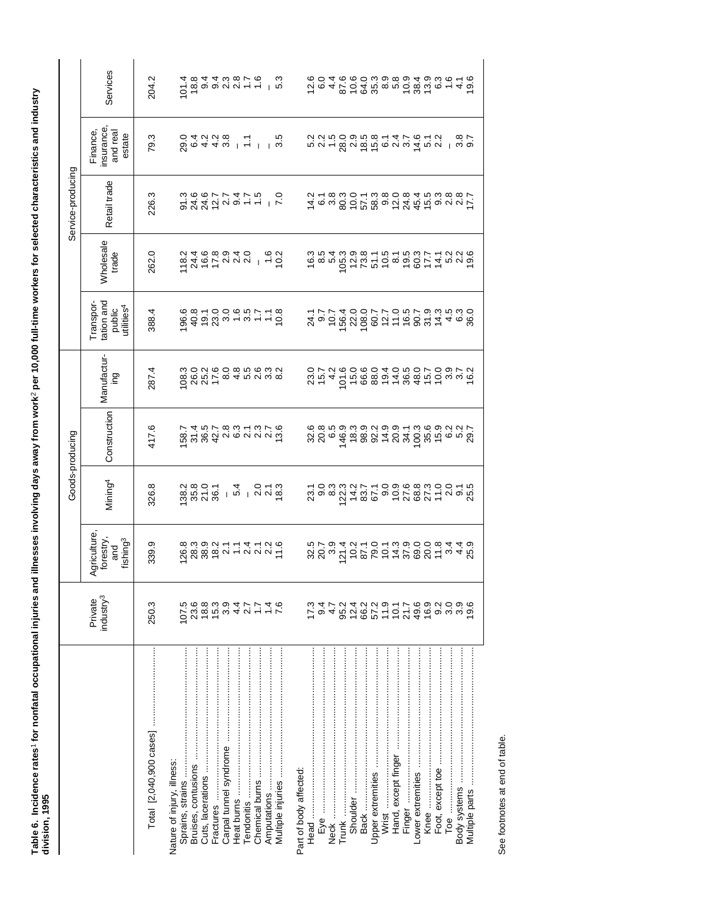| siste s | $\frac{1}{2}$<br>í<br>i |
|---------|-------------------------|
|         |                         |

 $\overline{\phantom{0}}$ 

|                   | Services<br>insurance,<br>Finance,<br>and real<br>estate    | 204.2<br>79.3 | 1014                                                |           |                        |                      |                |                        |                      |      | $\begin{array}{l} \n0 \stackrel{\rightarrow}{\alpha} \stackrel{\rightarrow}{\alpha} \stackrel{\rightarrow}{\alpha} \stackrel{\rightarrow}{\alpha} \stackrel{\rightarrow}{\alpha} \stackrel{\rightarrow}{\alpha} \stackrel{\rightarrow}{\alpha} \stackrel{\rightarrow}{\alpha} \stackrel{\rightarrow}{\alpha} \stackrel{\rightarrow}{\alpha} \stackrel{\rightarrow}{\alpha} \stackrel{\rightarrow}{\alpha} \stackrel{\rightarrow}{\alpha} \stackrel{\rightarrow}{\alpha} \stackrel{\rightarrow}{\alpha} \stackrel{\rightarrow}{\alpha} \stackrel{\rightarrow}{\alpha} \stackrel{\rightarrow}{\alpha} \stackrel{\rightarrow}{\alpha} \stackrel{\rightarrow}{\alpha} \stackrel{\rightarrow}{\alpha} \stackrel{\rightarrow}{\alpha} \stackrel{\rightarrow}{\alpha} \stackrel$ |                   |                     |                                       |      |                                                | ∣ ္လ<br>  ຕີ ⊙ |                                 |
|-------------------|-------------------------------------------------------------|---------------|-----------------------------------------------------|-----------|------------------------|----------------------|----------------|------------------------|----------------------|------|---------------------------------------------------------------------------------------------------------------------------------------------------------------------------------------------------------------------------------------------------------------------------------------------------------------------------------------------------------------------------------------------------------------------------------------------------------------------------------------------------------------------------------------------------------------------------------------------------------------------------------------------------------------------------------------------------------------------------------------------------------------------------|-------------------|---------------------|---------------------------------------|------|------------------------------------------------|----------------|---------------------------------|
| Service-producing | Retail trade                                                | 226.3         |                                                     |           |                        |                      |                |                        |                      |      |                                                                                                                                                                                                                                                                                                                                                                                                                                                                                                                                                                                                                                                                                                                                                                           |                   |                     |                                       |      |                                                |                |                                 |
|                   | <b>Wholesale</b><br>trade                                   | 262.0         | ra<br>Sideraun<br>Sideraun                          |           |                        |                      | $1, 6$<br>$-2$ |                        |                      |      | $\begin{array}{l} \epsilon_{\rm w} \\ \epsilon_{\rm w} \\ \epsilon_{\rm w} \\ \epsilon_{\rm w} \\ \epsilon_{\rm w} \\ \epsilon_{\rm w} \\ \epsilon_{\rm w} \\ \epsilon_{\rm w} \\ \epsilon_{\rm w} \\ \epsilon_{\rm w} \\ \epsilon_{\rm w} \\ \epsilon_{\rm w} \\ \epsilon_{\rm w} \\ \epsilon_{\rm w} \\ \epsilon_{\rm w} \\ \epsilon_{\rm w} \\ \epsilon_{\rm w} \\ \epsilon_{\rm w} \\ \epsilon_{\rm w} \\ \epsilon_{\rm w} \\ \epsilon_{\rm w} \\ \epsilon_{\rm w} \\ \epsilon_{\rm w} \\ \epsilon_{\rm w} \\ \epsilon_{\rm w} \\ \epsilon_{\rm w} \\ \epsilon_{\rm$                                                                                                                                                                                                  |                   |                     |                                       |      |                                                |                |                                 |
|                   | tation and<br>Transpor-<br>utilities <sup>4</sup><br>public | 388.4         | $0.8870000007708$ $0.997000007778$ $0.997000007797$ |           |                        |                      |                |                        |                      |      |                                                                                                                                                                                                                                                                                                                                                                                                                                                                                                                                                                                                                                                                                                                                                                           |                   |                     |                                       |      |                                                |                |                                 |
|                   | Manufactur-<br>ing                                          | 287.4         | <b>08.3</b>                                         |           |                        |                      |                |                        | 23.7<br>15.7<br>15.4 |      | 101.6                                                                                                                                                                                                                                                                                                                                                                                                                                                                                                                                                                                                                                                                                                                                                                     |                   |                     | 10881184116 30916<br>6689188416 30916 |      |                                                |                |                                 |
| Goods-producing   | Construction                                                | 417.6         |                                                     |           |                        |                      |                |                        | 8 8 8 9<br>8 9 6 9   |      | $\begin{array}{l} \tilde{\mathcal{A}}\ \tilde{\mathcal{A}}\ \tilde{\mathcal{A}}\ \tilde{\mathcal{B}}\ \tilde{\mathcal{B}}\ \tilde{\mathcal{B}}\ \tilde{\mathcal{B}}\ \tilde{\mathcal{B}}\ \tilde{\mathcal{B}}\ \tilde{\mathcal{B}}\ \tilde{\mathcal{B}}\ \tilde{\mathcal{B}}\ \tilde{\mathcal{B}}\ \tilde{\mathcal{B}}\ \tilde{\mathcal{B}}\ \tilde{\mathcal{B}}\ \tilde{\mathcal{B}}\ \tilde{\mathcal{B}}\ \tilde{\mathcal{B}}\ \tilde{\mathcal{B}}\ \tilde{\mathcal{B}}\ \tilde$                                                                                                                                                                                                                                                                                        |                   |                     |                                       |      |                                                |                |                                 |
|                   | Mining <sup>4</sup>                                         | 326.8         | 138.0<br>136.0<br>136.1                             |           |                        | $101000$<br>$401000$ |                |                        |                      |      |                                                                                                                                                                                                                                                                                                                                                                                                                                                                                                                                                                                                                                                                                                                                                                           |                   |                     |                                       |      |                                                |                |                                 |
|                   | Agriculture,<br>forestry,<br>fishing <sup>3</sup><br>and    | 339.9         |                                                     |           |                        |                      |                |                        |                      |      |                                                                                                                                                                                                                                                                                                                                                                                                                                                                                                                                                                                                                                                                                                                                                                           |                   |                     |                                       |      |                                                |                |                                 |
|                   | industry <sup>3</sup><br>Private                            | 250.3         | 23.6<br>107.5                                       |           |                        |                      |                | 173                    | 9.4                  | 4.7  | 91422917<br>2422917                                                                                                                                                                                                                                                                                                                                                                                                                                                                                                                                                                                                                                                                                                                                                       |                   |                     |                                       |      | ပ္ပံ တို့ လံုးတဲ့ တို့<br>ပံ့ပို့ တို့ ကို ကို |                | 9.6                             |
|                   |                                                             |               | Nature of injury, illness<br>Bruises, contusions    | Fractures | Carpal tunnel syndrome |                      |                | Part of body affected: |                      | Neck | Shoulder<br>Trunk                                                                                                                                                                                                                                                                                                                                                                                                                                                                                                                                                                                                                                                                                                                                                         | Upper extremities | Wrist ………………………………… | Hand, except finger                   | Knee | Foot, except toe                               |                | Multiple parts ………………………………………… |

See footnotes at end of table. See footnotes at end of table.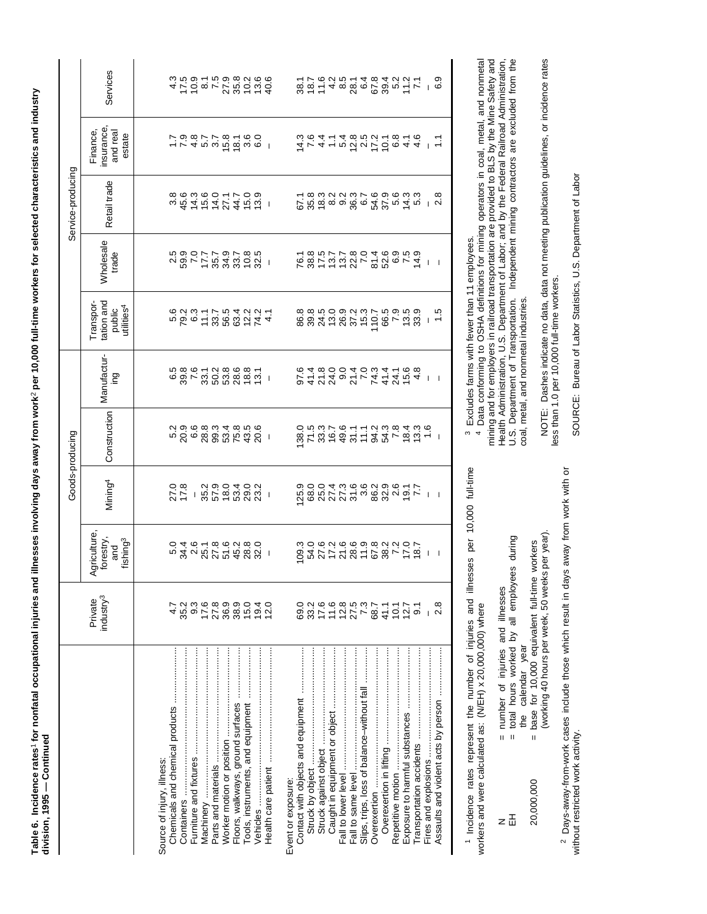Table 6. Incidence rates1 for nonfatal occupational injuries and illnesses involving days away from work? per 10,000 full-time workers for selected characteristics and industry<br>division, 1995 — Continued **Table 6. Incidence rates**1 **for nonfatal occupational injuries and illnesses involving days away from work**2 **per 10,000 full-time workers for selected characteristics and industry division, 1995 — Continued**

|                                            |                                        |                                                              |                                                                                                                                                                                                                                  | Goods-producing |                                                                                                                                                                                                                                                                                                                                                                                          |                                                             |                                          | Service-producing                                                                                                                   |                                                                                                   |                                                                                                                                                                                                                                                                                    |
|--------------------------------------------|----------------------------------------|--------------------------------------------------------------|----------------------------------------------------------------------------------------------------------------------------------------------------------------------------------------------------------------------------------|-----------------|------------------------------------------------------------------------------------------------------------------------------------------------------------------------------------------------------------------------------------------------------------------------------------------------------------------------------------------------------------------------------------------|-------------------------------------------------------------|------------------------------------------|-------------------------------------------------------------------------------------------------------------------------------------|---------------------------------------------------------------------------------------------------|------------------------------------------------------------------------------------------------------------------------------------------------------------------------------------------------------------------------------------------------------------------------------------|
|                                            | industry <sup>3</sup><br>Private       | griculture,<br>forestry,<br>and<br>fishing <sup>3</sup><br>⋖ | Mining <sup>4</sup>                                                                                                                                                                                                              | Construction    | Manufactur-<br>gui                                                                                                                                                                                                                                                                                                                                                                       | tation and<br>Transpor-<br>utilities <sup>4</sup><br>public | <b>Wholesale</b><br>trade                | Retail trade                                                                                                                        | insurance<br>Finance,<br>and real<br>estate                                                       | Services                                                                                                                                                                                                                                                                           |
|                                            |                                        |                                                              |                                                                                                                                                                                                                                  |                 |                                                                                                                                                                                                                                                                                                                                                                                          |                                                             |                                          |                                                                                                                                     |                                                                                                   |                                                                                                                                                                                                                                                                                    |
| Source of injury, illness:                 |                                        |                                                              |                                                                                                                                                                                                                                  |                 |                                                                                                                                                                                                                                                                                                                                                                                          |                                                             |                                          |                                                                                                                                     |                                                                                                   |                                                                                                                                                                                                                                                                                    |
|                                            |                                        |                                                              |                                                                                                                                                                                                                                  |                 |                                                                                                                                                                                                                                                                                                                                                                                          |                                                             |                                          |                                                                                                                                     |                                                                                                   |                                                                                                                                                                                                                                                                                    |
| Containers …………………………………………………             | 35.2                                   |                                                              |                                                                                                                                                                                                                                  |                 |                                                                                                                                                                                                                                                                                                                                                                                          |                                                             |                                          |                                                                                                                                     |                                                                                                   |                                                                                                                                                                                                                                                                                    |
|                                            |                                        |                                                              |                                                                                                                                                                                                                                  |                 |                                                                                                                                                                                                                                                                                                                                                                                          |                                                             |                                          |                                                                                                                                     |                                                                                                   |                                                                                                                                                                                                                                                                                    |
| Machinery ……………………………………                   |                                        |                                                              |                                                                                                                                                                                                                                  |                 |                                                                                                                                                                                                                                                                                                                                                                                          |                                                             |                                          |                                                                                                                                     |                                                                                                   |                                                                                                                                                                                                                                                                                    |
|                                            |                                        |                                                              |                                                                                                                                                                                                                                  |                 |                                                                                                                                                                                                                                                                                                                                                                                          |                                                             |                                          |                                                                                                                                     |                                                                                                   |                                                                                                                                                                                                                                                                                    |
|                                            |                                        |                                                              |                                                                                                                                                                                                                                  |                 |                                                                                                                                                                                                                                                                                                                                                                                          |                                                             |                                          |                                                                                                                                     |                                                                                                   |                                                                                                                                                                                                                                                                                    |
|                                            |                                        |                                                              |                                                                                                                                                                                                                                  |                 |                                                                                                                                                                                                                                                                                                                                                                                          |                                                             |                                          |                                                                                                                                     |                                                                                                   |                                                                                                                                                                                                                                                                                    |
|                                            |                                        |                                                              |                                                                                                                                                                                                                                  |                 |                                                                                                                                                                                                                                                                                                                                                                                          |                                                             |                                          |                                                                                                                                     |                                                                                                   |                                                                                                                                                                                                                                                                                    |
|                                            |                                        |                                                              |                                                                                                                                                                                                                                  |                 | $\begin{array}{l} {c} \mbox{\bf 0} & \mbox{\bf 0} & \mbox{\bf 0} & \mbox{\bf 0} & \mbox{\bf 0} & \mbox{\bf 0} \\ \mbox{\bf 0} & \mbox{\bf 0} & \mbox{\bf 0} & \mbox{\bf 0} & \mbox{\bf 0} & \mbox{\bf 0} \\ \mbox{\bf 0} & \mbox{\bf 0} & \mbox{\bf 0} & \mbox{\bf 0} & \mbox{\bf 0} & \mbox{\bf 0} & \mbox{\bf 0} \\ \mbox{\bf 0} & \mbox{\bf 0} & \mbox{\bf 0} & \mbox{\bf 0} & \mbox$ |                                                             | る。 0.7.7.9.7.8.9.9.<br>2.8.7.8.8.9.9.9.1 | $3.6455774551$ $3.6000077709$                                                                                                       |                                                                                                   |                                                                                                                                                                                                                                                                                    |
|                                            | 12.0                                   |                                                              |                                                                                                                                                                                                                                  |                 |                                                                                                                                                                                                                                                                                                                                                                                          |                                                             |                                          |                                                                                                                                     |                                                                                                   |                                                                                                                                                                                                                                                                                    |
|                                            |                                        |                                                              |                                                                                                                                                                                                                                  |                 |                                                                                                                                                                                                                                                                                                                                                                                          |                                                             |                                          |                                                                                                                                     |                                                                                                   |                                                                                                                                                                                                                                                                                    |
| Event or exposure:                         |                                        |                                                              |                                                                                                                                                                                                                                  |                 |                                                                                                                                                                                                                                                                                                                                                                                          |                                                             |                                          |                                                                                                                                     |                                                                                                   |                                                                                                                                                                                                                                                                                    |
| Contact with objects and equipment         | 69.0                                   |                                                              | 0,000 4 0,000 0,000 - 1.000 0,000 0,000 0,000 0,000 0,000 0,000 0,000 0,000 0,000 0,000 0,000 0,000 0,000 0,00<br>0,000 0,000 0,000 0,000 0,000 0,000 0,000 0,000 0,000 0,000 0,000 0,000 0,000 0,000 0,000 0,000 0,000 0,000 0, |                 |                                                                                                                                                                                                                                                                                                                                                                                          |                                                             |                                          |                                                                                                                                     |                                                                                                   |                                                                                                                                                                                                                                                                                    |
|                                            |                                        |                                                              |                                                                                                                                                                                                                                  |                 |                                                                                                                                                                                                                                                                                                                                                                                          |                                                             |                                          |                                                                                                                                     |                                                                                                   |                                                                                                                                                                                                                                                                                    |
|                                            | $3750999777$ $3750999777$ $3750999777$ |                                                              |                                                                                                                                                                                                                                  |                 |                                                                                                                                                                                                                                                                                                                                                                                          |                                                             |                                          |                                                                                                                                     |                                                                                                   |                                                                                                                                                                                                                                                                                    |
| Caught in equipment or object              |                                        |                                                              |                                                                                                                                                                                                                                  |                 |                                                                                                                                                                                                                                                                                                                                                                                          |                                                             |                                          |                                                                                                                                     |                                                                                                   |                                                                                                                                                                                                                                                                                    |
| Fall to lower level                        |                                        |                                                              |                                                                                                                                                                                                                                  |                 |                                                                                                                                                                                                                                                                                                                                                                                          |                                                             |                                          |                                                                                                                                     |                                                                                                   |                                                                                                                                                                                                                                                                                    |
| Fall to same level                         |                                        |                                                              |                                                                                                                                                                                                                                  |                 |                                                                                                                                                                                                                                                                                                                                                                                          |                                                             |                                          |                                                                                                                                     |                                                                                                   |                                                                                                                                                                                                                                                                                    |
| Slips, trips, loss of balance-without fall |                                        |                                                              |                                                                                                                                                                                                                                  |                 |                                                                                                                                                                                                                                                                                                                                                                                          |                                                             |                                          |                                                                                                                                     |                                                                                                   |                                                                                                                                                                                                                                                                                    |
| Overexertion                               |                                        |                                                              |                                                                                                                                                                                                                                  |                 |                                                                                                                                                                                                                                                                                                                                                                                          |                                                             |                                          |                                                                                                                                     |                                                                                                   |                                                                                                                                                                                                                                                                                    |
|                                            |                                        |                                                              |                                                                                                                                                                                                                                  |                 |                                                                                                                                                                                                                                                                                                                                                                                          |                                                             |                                          |                                                                                                                                     |                                                                                                   |                                                                                                                                                                                                                                                                                    |
|                                            |                                        |                                                              |                                                                                                                                                                                                                                  |                 |                                                                                                                                                                                                                                                                                                                                                                                          |                                                             |                                          |                                                                                                                                     |                                                                                                   |                                                                                                                                                                                                                                                                                    |
| Exposure to harmful substances             | $10.7$<br>$9.1$                        |                                                              |                                                                                                                                                                                                                                  |                 |                                                                                                                                                                                                                                                                                                                                                                                          |                                                             |                                          |                                                                                                                                     |                                                                                                   |                                                                                                                                                                                                                                                                                    |
|                                            |                                        | 852752815891581                                              |                                                                                                                                                                                                                                  |                 | 0422402 - 2424 - 1<br>042402 - 4424 - 1<br>0400040w4 - 06                                                                                                                                                                                                                                                                                                                                |                                                             |                                          | ှ အေးတို့ တွေ့ဆိုင်း ထိုးတွေက အေး<br>မိုက်တွေ့ တွေ့ဆိုင်း ထိုးတွေက အေးကို အေးကို အေးကို အေးကို အေးကို အေးကို အေးက<br>မိုက်တွေ့ တွေ့ | <u> 4 r 4 r 0 d y r 6 q 4 4 l r</u><br>ü o 4 r 4 w 10 j 2 w 2 w 2 d<br>ü o 4 r 4 w 10 j 2 w 2 w 2 | $\begin{array}{l} 0.65 & 0.75 & 0.75 & 0.75 \\ 0.75 & 0.75 & 0.75 & 0.75 \\ 0.75 & 0.75 & 0.75 & 0.75 \\ 0.75 & 0.75 & 0.75 & 0.75 \\ 0.75 & 0.75 & 0.75 & 0.75 \\ 0.75 & 0.75 & 0.75 & 0.75 \\ 0.75 & 0.75 & 0.75 & 0.75 \\ 0.75 & 0.75 & 0.75 & 0.75 \\ 0.75 & 0.75 & 0.75 & 0.$ |
|                                            |                                        |                                                              |                                                                                                                                                                                                                                  |                 |                                                                                                                                                                                                                                                                                                                                                                                          |                                                             |                                          |                                                                                                                                     |                                                                                                   |                                                                                                                                                                                                                                                                                    |
|                                            | 2.8                                    | $\overline{\phantom{0}}$                                     |                                                                                                                                                                                                                                  |                 |                                                                                                                                                                                                                                                                                                                                                                                          | $\frac{5}{1}$                                               |                                          |                                                                                                                                     |                                                                                                   |                                                                                                                                                                                                                                                                                    |
|                                            |                                        |                                                              |                                                                                                                                                                                                                                  |                 |                                                                                                                                                                                                                                                                                                                                                                                          |                                                             |                                          |                                                                                                                                     |                                                                                                   |                                                                                                                                                                                                                                                                                    |

<sup>1</sup> Incidence rates represent the number of injuries and illnesses per 10,000 full-time workers and were calculated as: (WEH) x 20,000,000) where Incidence rates represent the number of injuries and illnesses per 10,000 full-time workers and were calculated as: (N/EH) x 20,000,000) where

| number of injuries and illnesses | total hours worked by all employees during | the calendar year | pase for 10,000 equivalent full-time workers | working 40 hours per week, 50 weeks per year) |
|----------------------------------|--------------------------------------------|-------------------|----------------------------------------------|-----------------------------------------------|
|                                  |                                            |                   | 20,000,000                                   |                                               |

<sup>2</sup> Days-away-from-work cases include those which result in days away from work with or Days-away-from-work cases include those which result in days away from work with or without restricted work activity. without restricted work activity.

ო 4 Excludes farms with fewer than 11 employees.

 Data conforming to OSHA definitions for mining operators in coal, metal, and nonmetal mining and for employers in railroad transportation are provided to BLS by the Mine Safety and Health Administration, U.S. Department of Labor; and by the Federal Railroad Administration, U.S. Department of Transportation. Independent mining contractors are excluded from the coal, metal, and nonmetal industries. NOTE: Dashes indicate no data, data not meeting publication guidelines, or incidence rates<br>less than 1.0 per 10,000 full-time workers. NOTE: Dashes indicate no data, data not meeting publication guidelines, or incidence rates less than 1.0 per 10,000 full-time workers.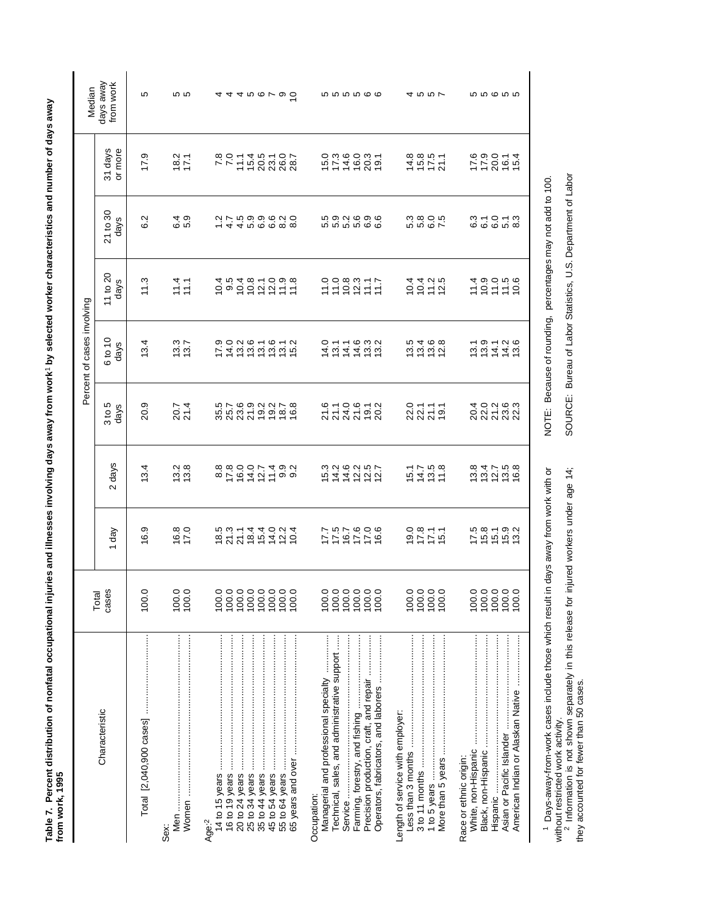Table 7. Percent distribution of nonfatal occupational injuries and illnesses involving days away from work' by selected worker characteristics and number of days away<br>from work, 1995 **Table 7. Percent distribution of nonfatal occupational injuries and illnesses involving days away from work**1 **by selected worker characteristics and number of days away from work, 1995**

|                                                                                                                                                                                                    |                                               |                                             |                              |                     | Percent of cases involving |                       |                                 |                         |                                  |
|----------------------------------------------------------------------------------------------------------------------------------------------------------------------------------------------------|-----------------------------------------------|---------------------------------------------|------------------------------|---------------------|----------------------------|-----------------------|---------------------------------|-------------------------|----------------------------------|
| Characteristic                                                                                                                                                                                     | cases<br>Total                                | 1 day                                       | 2 days                       | 3 to 5<br>days      | 6 to 10<br>days            | 11 to $20$<br>days    | 21 to 30<br>days                | 31 days<br>or more      | days away<br>from work<br>Median |
|                                                                                                                                                                                                    | 100.0                                         | တ<br>\$.                                    | 13.4                         | 20.9                | 13.4                       | 11.3                  | 6.2                             | 17.9                    | 5                                |
| Sex:                                                                                                                                                                                               | $\begin{array}{c} 100.0 \\ 100.0 \end{array}$ | $16.8$<br>17.0                              | 13.8                         | 20.7<br>21.4        | 13.7                       | $11.1$<br>$11.1$      |                                 | $18.2$<br>$17.1$        | 10 IO                            |
| 14 to 15 years<br>Age:2                                                                                                                                                                            | 00.0<br>00.0<br>00.0<br>100.0                 |                                             | 8<br>8800074902<br>880007490 |                     | 742222225<br>74222222      |                       | 1144000000<br>114000000         | 20071457007820717745000 | 44466790                         |
|                                                                                                                                                                                                    | 100.0<br>100.0                                |                                             |                              |                     |                            |                       |                                 |                         |                                  |
| Operators, fabricators, and laborers<br>Technical, sales, and administrative support<br>Precision production, craft, and repair<br>Managerial and professional specialty<br>Service<br>Occupation: | 100.0                                         | 992757<br>779759<br>779777                  | ちははわない はははない おかない            | 6.10.6.12<br>212250 | 1111103<br>1111103         | commit<br>200217      | <b>5000000</b><br>666666        | 10316031<br>10316031    | <b>56666</b>                     |
| Length of service with employer:                                                                                                                                                                   | $100.0$<br>$100.0$<br>100.0<br>100.0          | $9.771$<br>$9.771$<br>$9.771$               | $5400$<br>$5400$             | 01111<br>20112      |                            | 1011<br>1011<br>1011  | codor<br>codor                  | $4577$<br>$4577$        | 4557                             |
| Asian or Pacific Islander<br>White, non-Hispanic<br>Race or ethnic origin:<br>Hispanic                                                                                                             | 00.0<br>00.0<br>00.0<br>100.0                 | 7 1 1 1 1 2 3<br>7 1 1 1 2 1<br>7 1 1 2 1 1 | 101758<br>101758             | 32332<br>23232      | $19.79726$<br>$19.796$     | $1000000$<br>$100000$ | s - 0 - 3<br>- 0 - 3            | $770014$<br>$7200114$   | <b>55655</b>                     |
| <sup>1</sup> Days-away-from-work cases include those which result in<br>without restricted work activity                                                                                           |                                               | days away from work with or                 |                              |                     | NOTE: Because of rounding, |                       | percentages may not add to 100. |                         |                                  |

without restricted work activity.<br><sup>2</sup> Information is not shown separately in this release for injured workers under age 14;<br>they accounted for fewer than 50 cases. without restricted work activity.<br><sup>2</sup> Information is not shown separately in this release for injured workers under age 14; they accounted for fewer than 50 cases.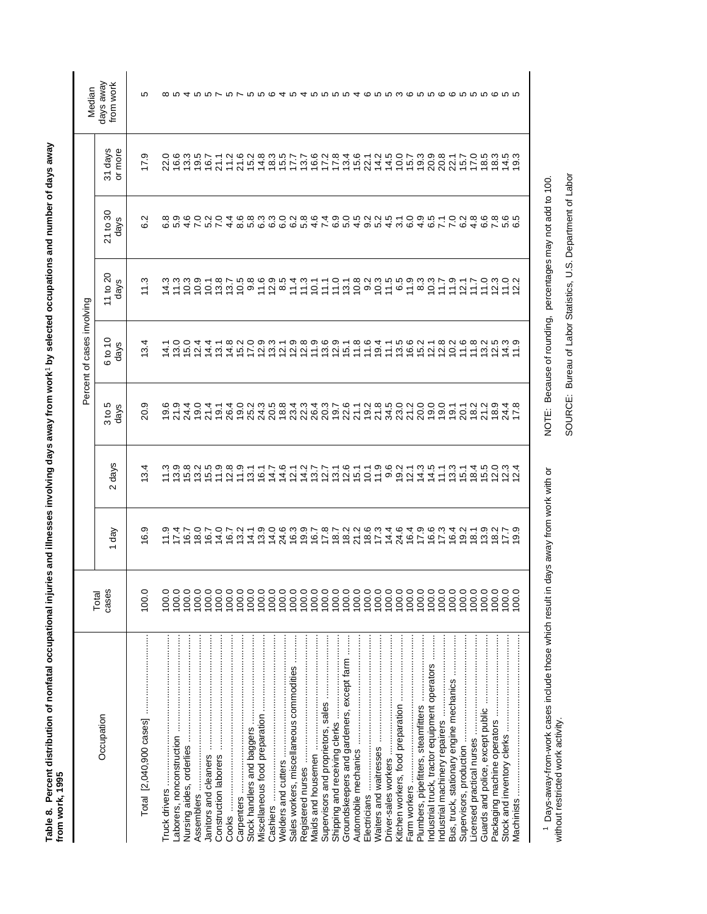| š<br>$\ddot{\phantom{a}}$<br>í<br>١<br>l<br><b>Continued and</b>        |        |
|-------------------------------------------------------------------------|--------|
| ֖֖֖֖֖֚֚֚֚֚֚֚֬<br>i<br>י<br>-<br>-<br>Ş                                  |        |
| -<br>-<br>-<br>ĺ<br>!<br>i<br>;<br>ŋ                                    |        |
| $\ddot{\phantom{a}}$<br>֧֧֧֧ׅ֧֧ׅ֧֧֧֧֧֛֚֚֚֚֚֚֚֚֚֚֚֚֚֚֚֚֚֚֚֝֝֓֜֜֓֝֬֜֓֓֜֜֓ |        |
| i<br><b>Sanss</b>                                                       |        |
|                                                                         |        |
| i<br>Í                                                                  | ċ<br>ĺ |
|                                                                         |        |

|                                                                                                  |                                                        |                                 |                             |                               | Percent of cases involving |                            |                                                                                                                                |                      | Median                                                                                   |
|--------------------------------------------------------------------------------------------------|--------------------------------------------------------|---------------------------------|-----------------------------|-------------------------------|----------------------------|----------------------------|--------------------------------------------------------------------------------------------------------------------------------|----------------------|------------------------------------------------------------------------------------------|
| Occupation                                                                                       | cases<br>Total                                         | 1 day                           | days<br>$\sim$              | 3 to 5<br>days                | 6 to 10<br>days            | 11 to $20$<br>days         | 21 to 30<br>days                                                                                                               | 31 days<br>or more   | days away<br>from work                                                                   |
| Total [2,040,900 cases]                                                                          | 100.0                                                  | 6.9                             | 3.4                         | 20.9                          | 3.4                        | 11.3                       | 6.2                                                                                                                            | 17.9                 | Ю                                                                                        |
|                                                                                                  | 100.0                                                  |                                 |                             |                               | 14.1                       |                            |                                                                                                                                |                      |                                                                                          |
|                                                                                                  | 100.0                                                  |                                 |                             | $\frac{19.9}{21.9}$           |                            | $\frac{4}{1}$ 3            |                                                                                                                                |                      |                                                                                          |
|                                                                                                  |                                                        |                                 |                             |                               | 3.0                        |                            |                                                                                                                                |                      |                                                                                          |
|                                                                                                  | 100.0                                                  |                                 |                             | 24.4                          | 5.0                        | 0.3                        |                                                                                                                                |                      |                                                                                          |
|                                                                                                  | 100.0                                                  |                                 |                             | 19.0                          | 2.4                        | 0.9                        |                                                                                                                                |                      |                                                                                          |
|                                                                                                  | 100.0                                                  |                                 | $7.79899977$<br>$7.7999977$ | 21.4                          | $4\overline{4}$            | $\overline{0}$ .           | coddroid<br>codd codd                                                                                                          | 2063<br>2063<br>2052 |                                                                                          |
|                                                                                                  | 100.0                                                  |                                 |                             | 19.1                          | $\overline{3}$ 1           | 3.8                        |                                                                                                                                | 21.1                 |                                                                                          |
| Cooks                                                                                            |                                                        |                                 | 12.8                        | 26.4                          |                            | 13.7                       |                                                                                                                                |                      |                                                                                          |
|                                                                                                  | 100.0                                                  |                                 | 11.9                        |                               | $14.8$<br>15.2             | 10.5                       |                                                                                                                                | $71.6$<br>21.6       |                                                                                          |
|                                                                                                  |                                                        |                                 |                             |                               | 17.0                       | $9.\overline{8}$           |                                                                                                                                |                      |                                                                                          |
|                                                                                                  | 00000                                                  |                                 | 13.1                        | 0.013.0<br>0.013.0<br>0.013.0 |                            | 11.6                       |                                                                                                                                | $15.2$<br>$14.8$     |                                                                                          |
| Cashiers ………………………………………………………                                                                   |                                                        | $13.9$<br>$14.0$                | 14.7                        |                               | $\frac{0.9}{13}$           |                            |                                                                                                                                |                      |                                                                                          |
|                                                                                                  |                                                        |                                 | 14.6                        |                               | 2.1                        |                            |                                                                                                                                |                      |                                                                                          |
| Sales workers, miscellaneous commodities                                                         |                                                        |                                 | 12.1                        | $834$<br>$223$                | 12.8                       | $7871$<br>$7871$<br>$7971$ |                                                                                                                                | $8.57$<br>$7.7$      |                                                                                          |
|                                                                                                  |                                                        |                                 | 14.2                        |                               |                            |                            |                                                                                                                                | 13.7                 |                                                                                          |
|                                                                                                  |                                                        |                                 | 13.7                        | 26.4                          | 11.9                       | 10.1                       |                                                                                                                                | 16.6                 |                                                                                          |
|                                                                                                  |                                                        |                                 | 12.7                        |                               |                            | 11.1                       |                                                                                                                                |                      |                                                                                          |
|                                                                                                  |                                                        |                                 | 13.1                        | いてあれる。<br>このというないのという。        | $13.9$<br>$12.9$           | 11.0                       | 4 αυο α α α α α 4 ν α υ 4 ω υ 4 ω ο 4 α ν ν α 4 α ν υ α α<br>4 α ω ω α α α α α 4 ν α υ 4 ω ο 4 ω α 4 α ν ν α 4 α ν α α α α ω υ | 17.8                 | ∞ ~ 4 ~ ~ ~ ~ ~ ~ ~ ~ ~ ~ <i>* ~ 4 ~ * ~ ~ ~ ^ 4 ~ ~ ~ ~ ~ ~ ~ ~ ~ ~ ~</i> ~ ~ ~ ~ ~ ~ ~ |
| Groundskeepers and gardeners, except farm                                                        |                                                        |                                 | $12.6$<br>$15.1$            |                               | 15.1                       |                            |                                                                                                                                | $13.4$<br>$15.6$     |                                                                                          |
|                                                                                                  |                                                        |                                 |                             |                               | 11.8                       | 7.800                      |                                                                                                                                |                      |                                                                                          |
|                                                                                                  |                                                        |                                 | 10.1                        |                               | 11.6                       |                            |                                                                                                                                | 22.1                 |                                                                                          |
|                                                                                                  | 100.0                                                  |                                 | 11.9                        |                               | 9.4                        | $10.3$<br>$11.5$           |                                                                                                                                | $14.5$<br>$14.5$     |                                                                                          |
|                                                                                                  |                                                        |                                 | 9.6                         |                               | 11.1                       |                            |                                                                                                                                |                      |                                                                                          |
|                                                                                                  |                                                        | 24.6                            | $19.2$<br>$12.1$            |                               |                            |                            |                                                                                                                                |                      |                                                                                          |
|                                                                                                  |                                                        |                                 |                             |                               | 5<br>1962<br>1963          | 6990                       |                                                                                                                                | $0.78$<br>$0.79$     |                                                                                          |
|                                                                                                  |                                                        |                                 | 14.3                        | 20.0                          |                            |                            |                                                                                                                                |                      |                                                                                          |
| Industrial truck, tractor equipment operators                                                    |                                                        | $6767$<br>$6796$<br>$496$       | 14.5                        | 0.001                         | 12.1                       | 10.3                       |                                                                                                                                | 20.9                 |                                                                                          |
|                                                                                                  |                                                        |                                 | $\frac{1}{2}$               |                               | $\frac{0.8}{0.2}$          | $\overline{11}$            |                                                                                                                                | 20.8                 |                                                                                          |
| Bus, truck, stationary engine mechanics                                                          |                                                        | 16.4                            | 3.3                         |                               |                            | 11.9                       |                                                                                                                                | 22.1                 |                                                                                          |
|                                                                                                  |                                                        |                                 | $\overline{5}$ .1           | 20.1                          | 1.6                        | 12.1                       |                                                                                                                                | 15.7                 |                                                                                          |
|                                                                                                  |                                                        |                                 |                             | $18.2$<br>$21.2$              |                            | 1.7                        |                                                                                                                                |                      |                                                                                          |
|                                                                                                  | $\begin{array}{c} 100.0 \\ 100.0 \\ 100.0 \end{array}$ | $0.702$<br>$0.7027$<br>$0.7027$ | $\frac{18.5}{5.5}$          |                               | 13.2                       | $\frac{0}{10}$             |                                                                                                                                | 17.5                 |                                                                                          |
|                                                                                                  | 100.0                                                  |                                 | 12.3                        | $18.9$<br>24.4                | 12.5                       | $2.3022$<br>$7.522$        |                                                                                                                                | 18.3                 |                                                                                          |
|                                                                                                  | 100.0                                                  |                                 |                             |                               | $14.9$<br>$17.9$           |                            |                                                                                                                                | 14.5                 |                                                                                          |
| Machinists                                                                                       | 0.0                                                    | 9.9                             | 2.4                         | 17.8                          |                            |                            |                                                                                                                                | တ                    |                                                                                          |
|                                                                                                  |                                                        |                                 |                             |                               |                            |                            |                                                                                                                                |                      |                                                                                          |
| <sup>1</sup> Days-away-from-work cases include those which result in days away from work with or |                                                        |                                 |                             |                               |                            |                            | NOTE: Because of rounding, percentages may not add to 100                                                                      |                      |                                                                                          |

1 Days-away-from-work cases include those which result in days away from work with or<br>without restricted work activity. Days-away-from-work cases include those which result in days away from work with or without restricted work activity.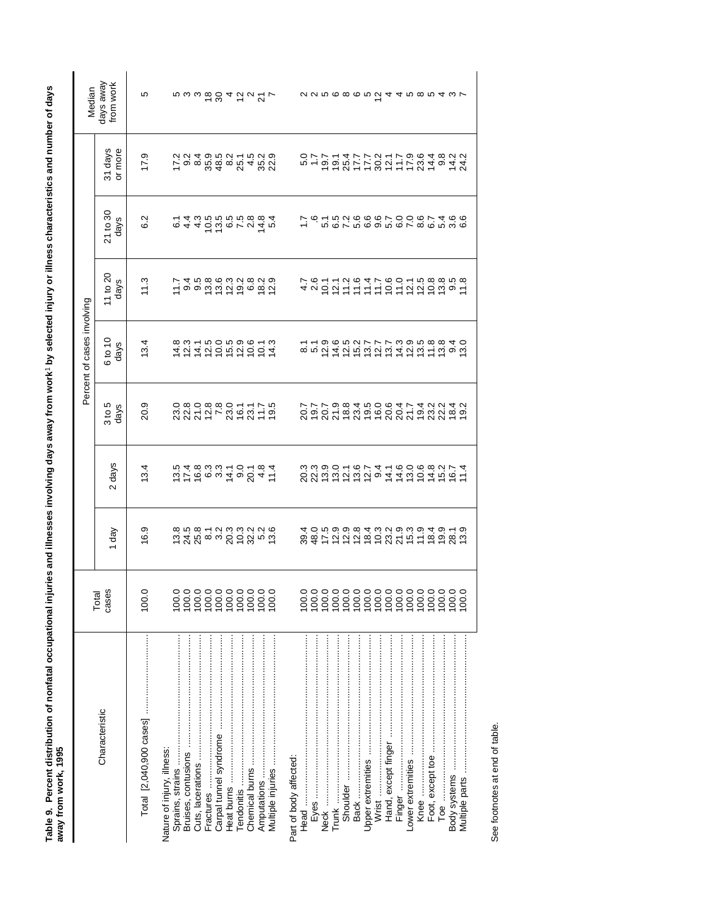| )<br>3<br>3<br>ļ<br>ׇ֘֝֬֝ |                                                     |
|---------------------------|-----------------------------------------------------|
| ľ                         |                                                     |
|                           |                                                     |
|                           |                                                     |
| j<br>Ī<br>ţ<br>j          |                                                     |
| j<br>j<br>j<br>l          |                                                     |
| o nove                    | l<br>j<br>è<br>ć<br>֧֦֧֦֧֦֧֦֧֦֧֦֧֚֝<br>֧֚֝ <b>֚</b> |
| 즊<br>į                    | .<br>.<br>.                                         |

| Percent of cases involving<br>6 to 10<br>days<br>3 to 5<br>Total<br>cases                                                                                                                                                                                                                                                                                                                                                           |
|-------------------------------------------------------------------------------------------------------------------------------------------------------------------------------------------------------------------------------------------------------------------------------------------------------------------------------------------------------------------------------------------------------------------------------------|
| days<br>2 days<br>1 day                                                                                                                                                                                                                                                                                                                                                                                                             |
| 20.9<br>13.4<br>16.9<br>100.0                                                                                                                                                                                                                                                                                                                                                                                                       |
| $337757288677776$                                                                                                                                                                                                                                                                                                                                                                                                                   |
|                                                                                                                                                                                                                                                                                                                                                                                                                                     |
|                                                                                                                                                                                                                                                                                                                                                                                                                                     |
|                                                                                                                                                                                                                                                                                                                                                                                                                                     |
|                                                                                                                                                                                                                                                                                                                                                                                                                                     |
|                                                                                                                                                                                                                                                                                                                                                                                                                                     |
|                                                                                                                                                                                                                                                                                                                                                                                                                                     |
|                                                                                                                                                                                                                                                                                                                                                                                                                                     |
|                                                                                                                                                                                                                                                                                                                                                                                                                                     |
| $\begin{array}{l} \mathfrak{a} \ \mathfrak{a} \ \mathfrak{c} \ \mathfrak{c} \ \mathfrak{c} \ \mathfrak{c} \ \mathfrak{c} \ \mathfrak{c} \ \mathfrak{c} \ \mathfrak{c} \ \mathfrak{c} \ \mathfrak{c} \ \mathfrak{c} \ \mathfrak{c} \ \mathfrak{c} \ \mathfrak{c} \ \mathfrak{c} \ \mathfrak{c} \ \mathfrak{c} \ \mathfrak{c} \ \mathfrak{c} \ \mathfrak{c} \ \mathfrak{c} \ \mathfrak{c} \ \mathfrak{c} \ \mathfrak{c} \ \mathfrak{$ |
| $5.7688342$<br>$2.7683429242$                                                                                                                                                                                                                                                                                                                                                                                                       |
| 100.0                                                                                                                                                                                                                                                                                                                                                                                                                               |
|                                                                                                                                                                                                                                                                                                                                                                                                                                     |
|                                                                                                                                                                                                                                                                                                                                                                                                                                     |
|                                                                                                                                                                                                                                                                                                                                                                                                                                     |
|                                                                                                                                                                                                                                                                                                                                                                                                                                     |
| ファアの845064742242. ファアの845064742218. 3 3 4 5 6 7 4 5 6 7 4 5 7 5 7                                                                                                                                                                                                                                                                                                                                                                   |
|                                                                                                                                                                                                                                                                                                                                                                                                                                     |
|                                                                                                                                                                                                                                                                                                                                                                                                                                     |
|                                                                                                                                                                                                                                                                                                                                                                                                                                     |
| 100.0                                                                                                                                                                                                                                                                                                                                                                                                                               |
| 100.0                                                                                                                                                                                                                                                                                                                                                                                                                               |
| 100.0                                                                                                                                                                                                                                                                                                                                                                                                                               |
| 100.0                                                                                                                                                                                                                                                                                                                                                                                                                               |
| 100.0                                                                                                                                                                                                                                                                                                                                                                                                                               |
| 222222222222222222232223<br>8 3 1 2 2 2 3 4 5 6 7 7 5 7 6 7 8 9 7<br>මහිර 2 6 7 6 6 7 8 7 6 1 6 6 9 8 0<br>2 9 9 9 9 9 4 9 9 9 9 9 9 4 9 4 9 5 9<br>100.0                                                                                                                                                                                                                                                                           |
| 100.0                                                                                                                                                                                                                                                                                                                                                                                                                               |

See footnotes at end of table. See footnotes at end of table.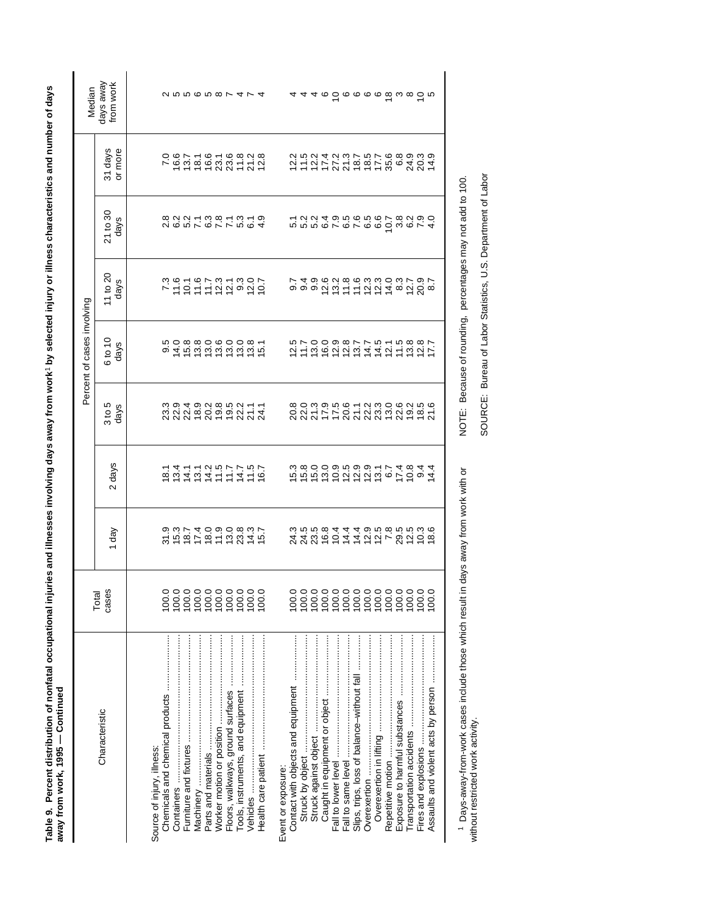| J<br>Í                                                 |        |
|--------------------------------------------------------|--------|
|                                                        |        |
|                                                        |        |
|                                                        |        |
|                                                        |        |
|                                                        |        |
|                                                        |        |
|                                                        |        |
|                                                        |        |
|                                                        |        |
|                                                        |        |
| Į                                                      |        |
|                                                        |        |
|                                                        |        |
|                                                        |        |
|                                                        |        |
|                                                        |        |
|                                                        |        |
| i                                                      |        |
|                                                        |        |
| ī                                                      |        |
| Ī<br>ľ<br>ś<br>ļ                                       |        |
|                                                        |        |
| ة<br>إ                                                 |        |
| ֢֧֧֧֚֚֚֚֚֚֚֚֚֚֚֚֚֚֬֓֡֓֓֡֬֓֓֬֓֓֡֬֓֓֓֓ <del>֛</del><br>l |        |
| ٔ<br>ا                                                 |        |
| ֧֚֚֝<br>֧֚֚֚֚֚֝<br>֧ <u>֚</u>                          |        |
| ļ                                                      | ֠<br>ĺ |
| í<br>ſ                                                 |        |
|                                                        |        |
| ¢                                                      | l<br>ı |

|                                            |                                                                                                                                                                                                                                                                                                                                  |                                                       |                                                                          |                       | Percent of cases involving         |                  |                                  |                               |                                                                                |
|--------------------------------------------|----------------------------------------------------------------------------------------------------------------------------------------------------------------------------------------------------------------------------------------------------------------------------------------------------------------------------------|-------------------------------------------------------|--------------------------------------------------------------------------|-----------------------|------------------------------------|------------------|----------------------------------|-------------------------------|--------------------------------------------------------------------------------|
| Characteristic                             | cases<br>Total                                                                                                                                                                                                                                                                                                                   | đay                                                   | days<br>$\mathbf{\Omega}$                                                | $3 to 5$<br>days      | 6 to 10<br>days                    | 11 to 20<br>days | 21 to 30<br>days                 | 31 days<br>or more            | days away<br>from work<br>Median                                               |
|                                            |                                                                                                                                                                                                                                                                                                                                  |                                                       |                                                                          |                       |                                    |                  |                                  |                               |                                                                                |
| Source of injury, illness:                 |                                                                                                                                                                                                                                                                                                                                  |                                                       |                                                                          |                       |                                    |                  |                                  |                               |                                                                                |
|                                            | 100.0                                                                                                                                                                                                                                                                                                                            | 3 ちゅうりょう 3 はちゅう 3 はない 1 5 2 3 4 5 6 7 4 5 9 9 9 9 1 7 |                                                                          | 394928521132280000000 |                                    | 701972223227     | 8221112312312313<br>822112312313 | 0.971.91.9323                 |                                                                                |
|                                            | 100.0                                                                                                                                                                                                                                                                                                                            |                                                       |                                                                          |                       |                                    |                  |                                  |                               |                                                                                |
|                                            | 100.0                                                                                                                                                                                                                                                                                                                            |                                                       |                                                                          |                       |                                    |                  |                                  |                               |                                                                                |
|                                            |                                                                                                                                                                                                                                                                                                                                  |                                                       |                                                                          |                       |                                    |                  |                                  |                               |                                                                                |
|                                            |                                                                                                                                                                                                                                                                                                                                  |                                                       |                                                                          |                       |                                    |                  |                                  |                               |                                                                                |
|                                            |                                                                                                                                                                                                                                                                                                                                  |                                                       |                                                                          |                       |                                    |                  |                                  |                               |                                                                                |
| Floors, walkways, ground surfaces          | $\begin{smallmatrix} 0 & 0 & 0 & 0 & 0 \\ 0 & 0 & 0 & 0 & 0 \\ 0 & 0 & 0 & 0 & 0 \\ 0 & 0 & 0 & 0 & 0 \\ 0 & 0 & 0 & 0 & 0 \\ 0 & 0 & 0 & 0 & 0 \\ 0 & 0 & 0 & 0 & 0 \\ 0 & 0 & 0 & 0 & 0 \\ 0 & 0 & 0 & 0 & 0 \\ 0 & 0 & 0 & 0 & 0 \\ 0 & 0 & 0 & 0 & 0 \\ 0 & 0 & 0 & 0 & 0 \\ 0 & 0 & 0 & 0 & 0 \\ 0 & 0 & 0 & 0 & 0 \\ 0 & $ |                                                       |                                                                          |                       |                                    |                  |                                  |                               |                                                                                |
| Tools, instruments, and equipment          |                                                                                                                                                                                                                                                                                                                                  |                                                       |                                                                          |                       |                                    |                  |                                  |                               |                                                                                |
|                                            |                                                                                                                                                                                                                                                                                                                                  |                                                       |                                                                          |                       |                                    |                  |                                  |                               |                                                                                |
|                                            | 0.0                                                                                                                                                                                                                                                                                                                              |                                                       | r d r r ci n r r r r c<br>c d d d d r r d r c<br>c d d d d d d r r d d c |                       |                                    |                  |                                  |                               |                                                                                |
| Event or exposure:                         |                                                                                                                                                                                                                                                                                                                                  |                                                       |                                                                          |                       |                                    |                  |                                  |                               |                                                                                |
| Contact with objects and equipment         | 100.0                                                                                                                                                                                                                                                                                                                            |                                                       |                                                                          |                       |                                    |                  |                                  |                               |                                                                                |
|                                            | 100.0                                                                                                                                                                                                                                                                                                                            |                                                       | ちちちいいないけい。いい。 4月30日 11日の11日の11日の11日                                      |                       | いていののあてていたことのとていっこう いっとうしょう いっとうせい |                  |                                  | 21121212225892242425242242424 |                                                                                |
|                                            | 100.0                                                                                                                                                                                                                                                                                                                            |                                                       |                                                                          |                       |                                    |                  |                                  |                               |                                                                                |
|                                            |                                                                                                                                                                                                                                                                                                                                  |                                                       |                                                                          |                       |                                    |                  |                                  |                               | $4.05$ $\sigma$ $\sigma$ $\sigma$ $\sigma$ $\sigma$ $\sigma$ $\omega$ $\sigma$ |
|                                            |                                                                                                                                                                                                                                                                                                                                  |                                                       |                                                                          |                       |                                    |                  |                                  |                               |                                                                                |
|                                            |                                                                                                                                                                                                                                                                                                                                  |                                                       |                                                                          |                       |                                    |                  |                                  |                               |                                                                                |
| Slips, trips, loss of balance-without fall |                                                                                                                                                                                                                                                                                                                                  |                                                       |                                                                          |                       |                                    |                  |                                  |                               |                                                                                |
| Overexertion                               |                                                                                                                                                                                                                                                                                                                                  |                                                       |                                                                          |                       |                                    |                  |                                  |                               |                                                                                |
|                                            |                                                                                                                                                                                                                                                                                                                                  |                                                       |                                                                          |                       |                                    |                  |                                  |                               |                                                                                |
| Repetitive motion                          |                                                                                                                                                                                                                                                                                                                                  |                                                       |                                                                          |                       |                                    |                  |                                  |                               |                                                                                |
|                                            |                                                                                                                                                                                                                                                                                                                                  |                                                       |                                                                          |                       |                                    |                  |                                  |                               |                                                                                |
|                                            |                                                                                                                                                                                                                                                                                                                                  |                                                       |                                                                          |                       |                                    |                  |                                  |                               |                                                                                |
|                                            |                                                                                                                                                                                                                                                                                                                                  |                                                       |                                                                          |                       |                                    |                  |                                  |                               |                                                                                |
|                                            | 100.0                                                                                                                                                                                                                                                                                                                            |                                                       |                                                                          |                       |                                    |                  | 4                                |                               |                                                                                |
|                                            |                                                                                                                                                                                                                                                                                                                                  |                                                       |                                                                          |                       |                                    |                  |                                  |                               |                                                                                |

<sup>1</sup> Days-away-from-work cases include those which result in days away from work with or<br>without restricted work activity. Days-away-from-work cases include those which result in days away from work with or without restricted work activity.

SOURCE: Bureau of Labor Statistics, U.S. Department of Labor SOURCE: Bureau of Labor Statistics, U.S. Department of Labor

NOTE: Because of rounding, percentages may not add to 100.

NOTE: Because of rounding, percentages may not add to 100.